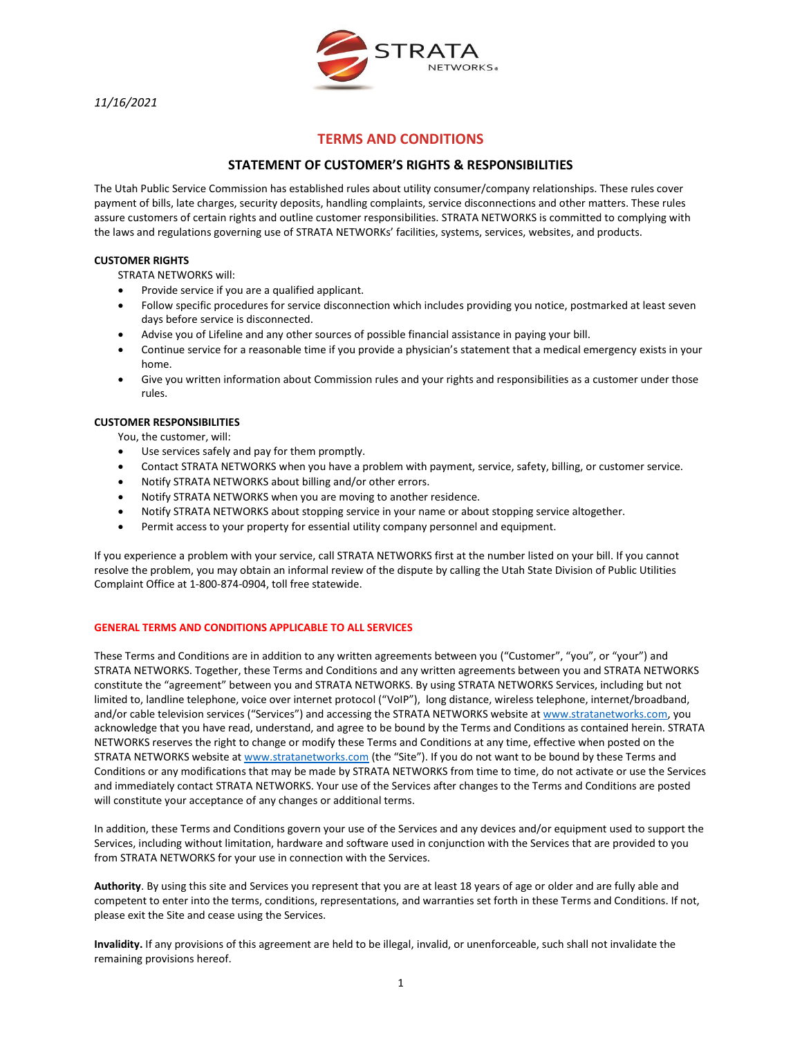*11/16/2021*



# **TERMS AND CONDITIONS**

# **STATEMENT OF CUSTOMER'S RIGHTS & RESPONSIBILITIES**

The Utah Public Service Commission has established rules about utility consumer/company relationships. These rules cover payment of bills, late charges, security deposits, handling complaints, service disconnections and other matters. These rules assure customers of certain rights and outline customer responsibilities. STRATA NETWORKS is committed to complying with the laws and regulations governing use of STRATA NETWORKs' facilities, systems, services, websites, and products.

## **CUSTOMER RIGHTS**

STRATA NETWORKS will:

- Provide service if you are a qualified applicant.
- Follow specific procedures for service disconnection which includes providing you notice, postmarked at least seven days before service is disconnected.
- Advise you of Lifeline and any other sources of possible financial assistance in paying your bill.
- Continue service for a reasonable time if you provide a physician's statement that a medical emergency exists in your home.
- Give you written information about Commission rules and your rights and responsibilities as a customer under those rules.

### **CUSTOMER RESPONSIBILITIES**

You, the customer, will:

- Use services safely and pay for them promptly.
- Contact STRATA NETWORKS when you have a problem with payment, service, safety, billing, or customer service.
- Notify STRATA NETWORKS about billing and/or other errors.
- Notify STRATA NETWORKS when you are moving to another residence.
- Notify STRATA NETWORKS about stopping service in your name or about stopping service altogether.
- Permit access to your property for essential utility company personnel and equipment.

If you experience a problem with your service, call STRATA NETWORKS first at the number listed on your bill. If you cannot resolve the problem, you may obtain an informal review of the dispute by calling the Utah State Division of Public Utilities Complaint Office at 1-800-874-0904, toll free statewide.

### **GENERAL TERMS AND CONDITIONS APPLICABLE TO ALL SERVICES**

These Terms and Conditions are in addition to any written agreements between you ("Customer", "you", or "your") and STRATA NETWORKS. Together, these Terms and Conditions and any written agreements between you and STRATA NETWORKS constitute the "agreement" between you and STRATA NETWORKS. By using STRATA NETWORKS Services, including but not limited to, landline telephone, voice over internet protocol ("VoIP"), long distance, wireless telephone, internet/broadband, and/or cable television services ("Services") and accessing the STRATA NETWORKS website at [www.stratanetworks.com,](http://www.stratanetworks.com/) you acknowledge that you have read, understand, and agree to be bound by the Terms and Conditions as contained herein. STRATA NETWORKS reserves the right to change or modify these Terms and Conditions at any time, effective when posted on the STRATA NETWORKS website a[t www.stratanetworks.com](http://www.stratanetworks.com/) (the "Site"). If you do not want to be bound by these Terms and Conditions or any modifications that may be made by STRATA NETWORKS from time to time, do not activate or use the Services and immediately contact STRATA NETWORKS. Your use of the Services after changes to the Terms and Conditions are posted will constitute your acceptance of any changes or additional terms.

In addition, these Terms and Conditions govern your use of the Services and any devices and/or equipment used to support the Services, including without limitation, hardware and software used in conjunction with the Services that are provided to you from STRATA NETWORKS for your use in connection with the Services.

**Authority**. By using this site and Services you represent that you are at least 18 years of age or older and are fully able and competent to enter into the terms, conditions, representations, and warranties set forth in these Terms and Conditions. If not, please exit the Site and cease using the Services.

**Invalidity.** If any provisions of this agreement are held to be illegal, invalid, or unenforceable, such shall not invalidate the remaining provisions hereof.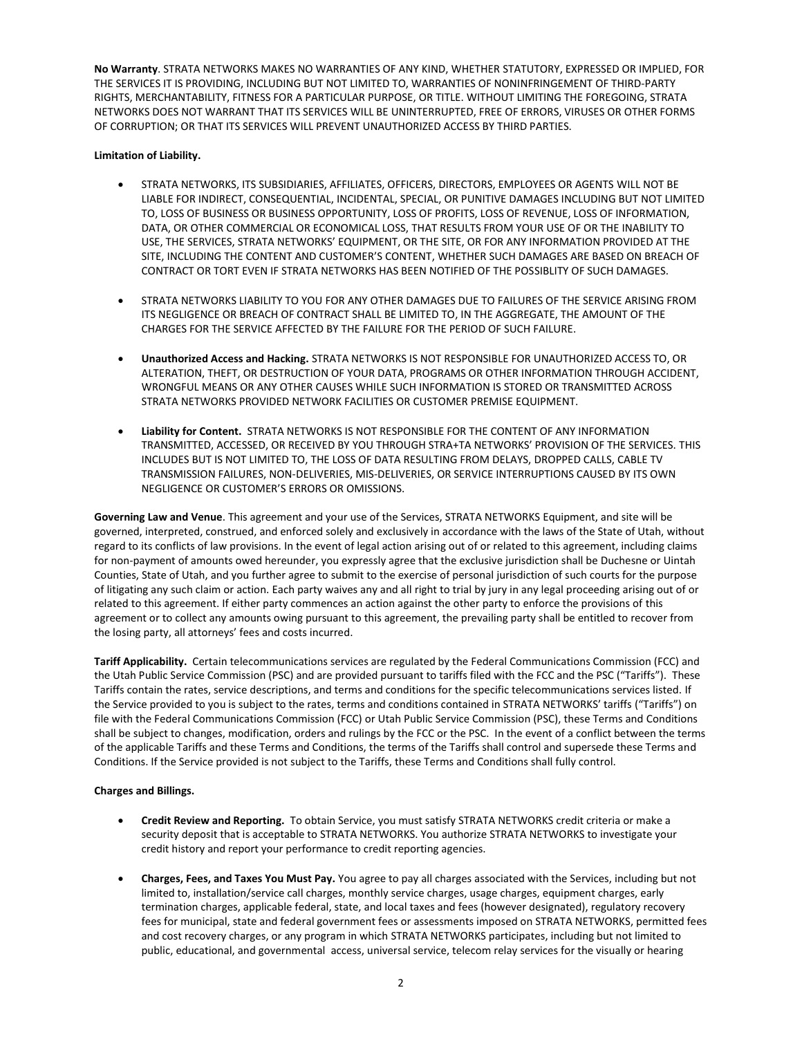**No Warranty**. STRATA NETWORKS MAKES NO WARRANTIES OF ANY KIND, WHETHER STATUTORY, EXPRESSED OR IMPLIED, FOR THE SERVICES IT IS PROVIDING, INCLUDING BUT NOT LIMITED TO, WARRANTIES OF NONINFRINGEMENT OF THIRD-PARTY RIGHTS, MERCHANTABILITY, FITNESS FOR A PARTICULAR PURPOSE, OR TITLE. WITHOUT LIMITING THE FOREGOING, STRATA NETWORKS DOES NOT WARRANT THAT ITS SERVICES WILL BE UNINTERRUPTED, FREE OF ERRORS, VIRUSES OR OTHER FORMS OF CORRUPTION; OR THAT ITS SERVICES WILL PREVENT UNAUTHORIZED ACCESS BY THIRD PARTIES.

### **Limitation of Liability.**

- STRATA NETWORKS, ITS SUBSIDIARIES, AFFILIATES, OFFICERS, DIRECTORS, EMPLOYEES OR AGENTS WILL NOT BE LIABLE FOR INDIRECT, CONSEQUENTIAL, INCIDENTAL, SPECIAL, OR PUNITIVE DAMAGES INCLUDING BUT NOT LIMITED TO, LOSS OF BUSINESS OR BUSINESS OPPORTUNITY, LOSS OF PROFITS, LOSS OF REVENUE, LOSS OF INFORMATION, DATA, OR OTHER COMMERCIAL OR ECONOMICAL LOSS, THAT RESULTS FROM YOUR USE OF OR THE INABILITY TO USE, THE SERVICES, STRATA NETWORKS' EQUIPMENT, OR THE SITE, OR FOR ANY INFORMATION PROVIDED AT THE SITE, INCLUDING THE CONTENT AND CUSTOMER'S CONTENT, WHETHER SUCH DAMAGES ARE BASED ON BREACH OF CONTRACT OR TORT EVEN IF STRATA NETWORKS HAS BEEN NOTIFIED OF THE POSSIBLITY OF SUCH DAMAGES.
- STRATA NETWORKS LIABILITY TO YOU FOR ANY OTHER DAMAGES DUE TO FAILURES OF THE SERVICE ARISING FROM ITS NEGLIGENCE OR BREACH OF CONTRACT SHALL BE LIMITED TO, IN THE AGGREGATE, THE AMOUNT OF THE CHARGES FOR THE SERVICE AFFECTED BY THE FAILURE FOR THE PERIOD OF SUCH FAILURE.
- **Unauthorized Access and Hacking.** STRATA NETWORKS IS NOT RESPONSIBLE FOR UNAUTHORIZED ACCESS TO, OR ALTERATION, THEFT, OR DESTRUCTION OF YOUR DATA, PROGRAMS OR OTHER INFORMATION THROUGH ACCIDENT, WRONGFUL MEANS OR ANY OTHER CAUSES WHILE SUCH INFORMATION IS STORED OR TRANSMITTED ACROSS STRATA NETWORKS PROVIDED NETWORK FACILITIES OR CUSTOMER PREMISE EQUIPMENT.
- **Liability for Content.** STRATA NETWORKS IS NOT RESPONSIBLE FOR THE CONTENT OF ANY INFORMATION TRANSMITTED, ACCESSED, OR RECEIVED BY YOU THROUGH STRA+TA NETWORKS' PROVISION OF THE SERVICES. THIS INCLUDES BUT IS NOT LIMITED TO, THE LOSS OF DATA RESULTING FROM DELAYS, DROPPED CALLS, CABLE TV TRANSMISSION FAILURES, NON-DELIVERIES, MIS-DELIVERIES, OR SERVICE INTERRUPTIONS CAUSED BY ITS OWN NEGLIGENCE OR CUSTOMER'S ERRORS OR OMISSIONS.

**Governing Law and Venue**. This agreement and your use of the Services, STRATA NETWORKS Equipment, and site will be governed, interpreted, construed, and enforced solely and exclusively in accordance with the laws of the State of Utah, without regard to its conflicts of law provisions. In the event of legal action arising out of or related to this agreement, including claims for non-payment of amounts owed hereunder, you expressly agree that the exclusive jurisdiction shall be Duchesne or Uintah Counties, State of Utah, and you further agree to submit to the exercise of personal jurisdiction of such courts for the purpose of litigating any such claim or action. Each party waives any and all right to trial by jury in any legal proceeding arising out of or related to this agreement. If either party commences an action against the other party to enforce the provisions of this agreement or to collect any amounts owing pursuant to this agreement, the prevailing party shall be entitled to recover from the losing party, all attorneys' fees and costs incurred.

**Tariff Applicability.** Certain telecommunications services are regulated by the Federal Communications Commission (FCC) and the Utah Public Service Commission (PSC) and are provided pursuant to tariffs filed with the FCC and the PSC ("Tariffs"). These Tariffs contain the rates, service descriptions, and terms and conditions for the specific telecommunications services listed. If the Service provided to you is subject to the rates, terms and conditions contained in STRATA NETWORKS' tariffs ("Tariffs") on file with the Federal Communications Commission (FCC) or Utah Public Service Commission (PSC), these Terms and Conditions shall be subject to changes, modification, orders and rulings by the FCC or the PSC. In the event of a conflict between the terms of the applicable Tariffs and these Terms and Conditions, the terms of the Tariffs shall control and supersede these Terms and Conditions. If the Service provided is not subject to the Tariffs, these Terms and Conditions shall fully control.

### **Charges and Billings.**

- **Credit Review and Reporting.** To obtain Service, you must satisfy STRATA NETWORKS credit criteria or make a security deposit that is acceptable to STRATA NETWORKS. You authorize STRATA NETWORKS to investigate your credit history and report your performance to credit reporting agencies.
- **Charges, Fees, and Taxes You Must Pay.** You agree to pay all charges associated with the Services, including but not limited to, installation/service call charges, monthly service charges, usage charges, equipment charges, early termination charges, applicable federal, state, and local taxes and fees (however designated), regulatory recovery fees for municipal, state and federal government fees or assessments imposed on STRATA NETWORKS, permitted fees and cost recovery charges, or any program in which STRATA NETWORKS participates, including but not limited to public, educational, and governmental access, universal service, telecom relay services for the visually or hearing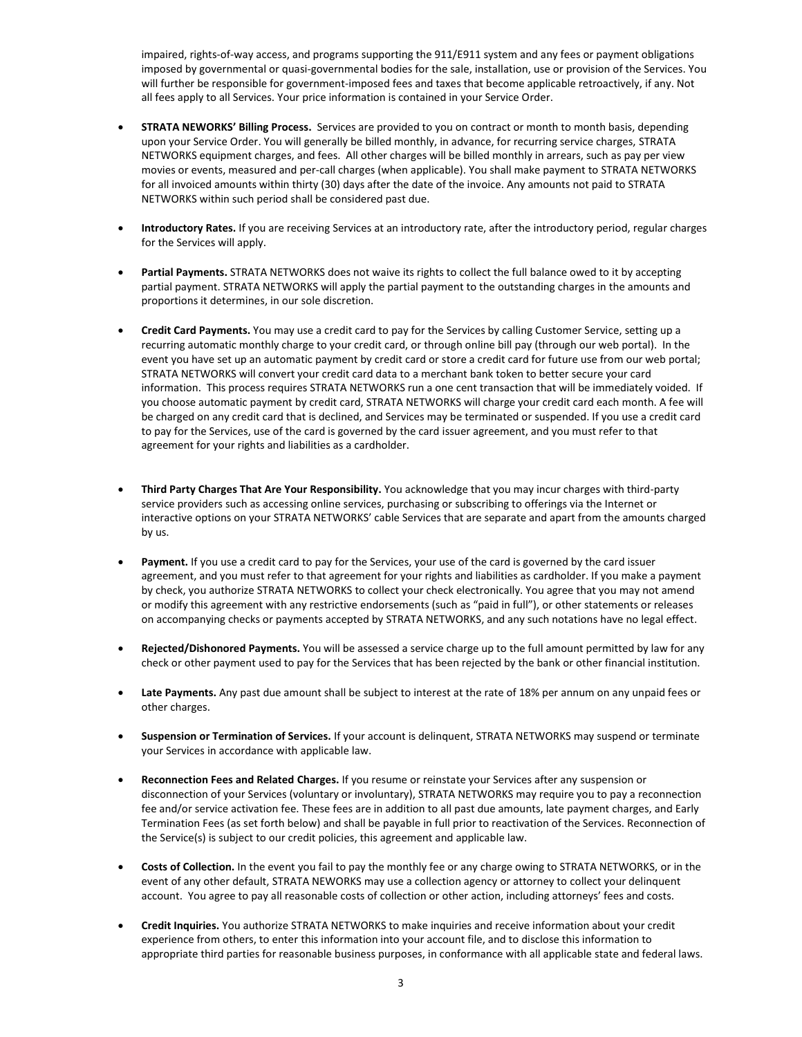impaired, rights-of-way access, and programs supporting the 911/E911 system and any fees or payment obligations imposed by governmental or quasi-governmental bodies for the sale, installation, use or provision of the Services. You will further be responsible for government-imposed fees and taxes that become applicable retroactively, if any. Not all fees apply to all Services. Your price information is contained in your Service Order.

- **STRATA NEWORKS' Billing Process.** Services are provided to you on contract or month to month basis, depending upon your Service Order. You will generally be billed monthly, in advance, for recurring service charges, STRATA NETWORKS equipment charges, and fees. All other charges will be billed monthly in arrears, such as pay per view movies or events, measured and per-call charges (when applicable). You shall make payment to STRATA NETWORKS for all invoiced amounts within thirty (30) days after the date of the invoice. Any amounts not paid to STRATA NETWORKS within such period shall be considered past due.
- **Introductory Rates.** If you are receiving Services at an introductory rate, after the introductory period, regular charges for the Services will apply.
- **Partial Payments.** STRATA NETWORKS does not waive its rights to collect the full balance owed to it by accepting partial payment. STRATA NETWORKS will apply the partial payment to the outstanding charges in the amounts and proportions it determines, in our sole discretion.
- **Credit Card Payments.** You may use a credit card to pay for the Services by calling Customer Service, setting up a recurring automatic monthly charge to your credit card, or through online bill pay (through our web portal). In the event you have set up an automatic payment by credit card or store a credit card for future use from our web portal; STRATA NETWORKS will convert your credit card data to a merchant bank token to better secure your card information. This process requires STRATA NETWORKS run a one cent transaction that will be immediately voided. If you choose automatic payment by credit card, STRATA NETWORKS will charge your credit card each month. A fee will be charged on any credit card that is declined, and Services may be terminated or suspended. If you use a credit card to pay for the Services, use of the card is governed by the card issuer agreement, and you must refer to that agreement for your rights and liabilities as a cardholder.
- **Third Party Charges That Are Your Responsibility.** You acknowledge that you may incur charges with third-party service providers such as accessing online services, purchasing or subscribing to offerings via the Internet or interactive options on your STRATA NETWORKS' cable Services that are separate and apart from the amounts charged by us.
- Payment. If you use a credit card to pay for the Services, your use of the card is governed by the card issuer agreement, and you must refer to that agreement for your rights and liabilities as cardholder. If you make a payment by check, you authorize STRATA NETWORKS to collect your check electronically. You agree that you may not amend or modify this agreement with any restrictive endorsements (such as "paid in full"), or other statements or releases on accompanying checks or payments accepted by STRATA NETWORKS, and any such notations have no legal effect.
- **Rejected/Dishonored Payments.** You will be assessed a service charge up to the full amount permitted by law for any check or other payment used to pay for the Services that has been rejected by the bank or other financial institution.
- **Late Payments.** Any past due amount shall be subject to interest at the rate of 18% per annum on any unpaid fees or other charges.
- **Suspension or Termination of Services.** If your account is delinquent, STRATA NETWORKS may suspend or terminate your Services in accordance with applicable law.
- **Reconnection Fees and Related Charges.** If you resume or reinstate your Services after any suspension or disconnection of your Services (voluntary or involuntary), STRATA NETWORKS may require you to pay a reconnection fee and/or service activation fee. These fees are in addition to all past due amounts, late payment charges, and Early Termination Fees (as set forth below) and shall be payable in full prior to reactivation of the Services. Reconnection of the Service(s) is subject to our credit policies, this agreement and applicable law.
- **Costs of Collection.** In the event you fail to pay the monthly fee or any charge owing to STRATA NETWORKS, or in the event of any other default, STRATA NEWORKS may use a collection agency or attorney to collect your delinquent account. You agree to pay all reasonable costs of collection or other action, including attorneys' fees and costs.
- **Credit Inquiries.** You authorize STRATA NETWORKS to make inquiries and receive information about your credit experience from others, to enter this information into your account file, and to disclose this information to appropriate third parties for reasonable business purposes, in conformance with all applicable state and federal laws.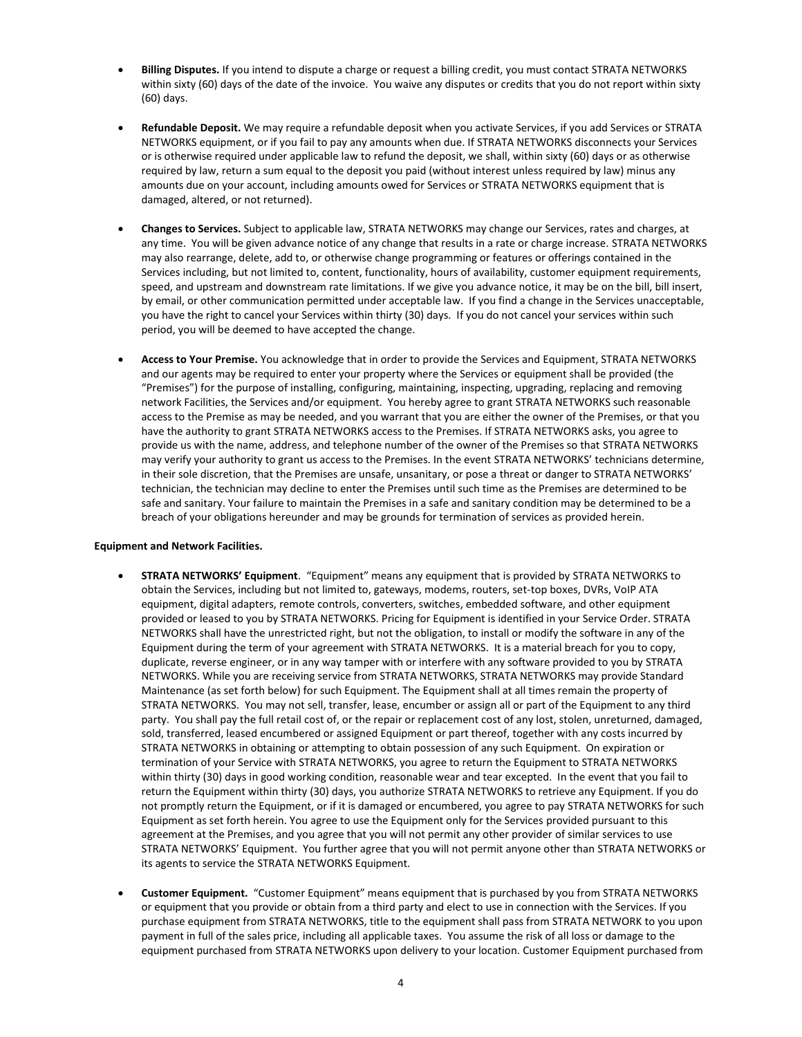- **Billing Disputes.** If you intend to dispute a charge or request a billing credit, you must contact STRATA NETWORKS within sixty (60) days of the date of the invoice. You waive any disputes or credits that you do not report within sixty (60) days.
- **Refundable Deposit.** We may require a refundable deposit when you activate Services, if you add Services or STRATA NETWORKS equipment, or if you fail to pay any amounts when due. If STRATA NETWORKS disconnects your Services or is otherwise required under applicable law to refund the deposit, we shall, within sixty (60) days or as otherwise required by law, return a sum equal to the deposit you paid (without interest unless required by law) minus any amounts due on your account, including amounts owed for Services or STRATA NETWORKS equipment that is damaged, altered, or not returned).
- **Changes to Services.** Subject to applicable law, STRATA NETWORKS may change our Services, rates and charges, at any time. You will be given advance notice of any change that results in a rate or charge increase. STRATA NETWORKS may also rearrange, delete, add to, or otherwise change programming or features or offerings contained in the Services including, but not limited to, content, functionality, hours of availability, customer equipment requirements, speed, and upstream and downstream rate limitations. If we give you advance notice, it may be on the bill, bill insert, by email, or other communication permitted under acceptable law. If you find a change in the Services unacceptable, you have the right to cancel your Services within thirty (30) days. If you do not cancel your services within such period, you will be deemed to have accepted the change.
- **Access to Your Premise.** You acknowledge that in order to provide the Services and Equipment, STRATA NETWORKS and our agents may be required to enter your property where the Services or equipment shall be provided (the "Premises") for the purpose of installing, configuring, maintaining, inspecting, upgrading, replacing and removing network Facilities, the Services and/or equipment. You hereby agree to grant STRATA NETWORKS such reasonable access to the Premise as may be needed, and you warrant that you are either the owner of the Premises, or that you have the authority to grant STRATA NETWORKS access to the Premises. If STRATA NETWORKS asks, you agree to provide us with the name, address, and telephone number of the owner of the Premises so that STRATA NETWORKS may verify your authority to grant us access to the Premises. In the event STRATA NETWORKS' technicians determine, in their sole discretion, that the Premises are unsafe, unsanitary, or pose a threat or danger to STRATA NETWORKS' technician, the technician may decline to enter the Premises until such time as the Premises are determined to be safe and sanitary. Your failure to maintain the Premises in a safe and sanitary condition may be determined to be a breach of your obligations hereunder and may be grounds for termination of services as provided herein.

#### **Equipment and Network Facilities.**

- **STRATA NETWORKS' Equipment**. "Equipment" means any equipment that is provided by STRATA NETWORKS to obtain the Services, including but not limited to, gateways, modems, routers, set-top boxes, DVRs, VoIP ATA equipment, digital adapters, remote controls, converters, switches, embedded software, and other equipment provided or leased to you by STRATA NETWORKS. Pricing for Equipment is identified in your Service Order. STRATA NETWORKS shall have the unrestricted right, but not the obligation, to install or modify the software in any of the Equipment during the term of your agreement with STRATA NETWORKS. It is a material breach for you to copy, duplicate, reverse engineer, or in any way tamper with or interfere with any software provided to you by STRATA NETWORKS. While you are receiving service from STRATA NETWORKS, STRATA NETWORKS may provide Standard Maintenance (as set forth below) for such Equipment. The Equipment shall at all times remain the property of STRATA NETWORKS. You may not sell, transfer, lease, encumber or assign all or part of the Equipment to any third party. You shall pay the full retail cost of, or the repair or replacement cost of any lost, stolen, unreturned, damaged, sold, transferred, leased encumbered or assigned Equipment or part thereof, together with any costs incurred by STRATA NETWORKS in obtaining or attempting to obtain possession of any such Equipment. On expiration or termination of your Service with STRATA NETWORKS, you agree to return the Equipment to STRATA NETWORKS within thirty (30) days in good working condition, reasonable wear and tear excepted. In the event that you fail to return the Equipment within thirty (30) days, you authorize STRATA NETWORKS to retrieve any Equipment. If you do not promptly return the Equipment, or if it is damaged or encumbered, you agree to pay STRATA NETWORKS for such Equipment as set forth herein. You agree to use the Equipment only for the Services provided pursuant to this agreement at the Premises, and you agree that you will not permit any other provider of similar services to use STRATA NETWORKS' Equipment. You further agree that you will not permit anyone other than STRATA NETWORKS or its agents to service the STRATA NETWORKS Equipment.
- **Customer Equipment.** "Customer Equipment" means equipment that is purchased by you from STRATA NETWORKS or equipment that you provide or obtain from a third party and elect to use in connection with the Services. If you purchase equipment from STRATA NETWORKS, title to the equipment shall pass from STRATA NETWORK to you upon payment in full of the sales price, including all applicable taxes. You assume the risk of all loss or damage to the equipment purchased from STRATA NETWORKS upon delivery to your location. Customer Equipment purchased from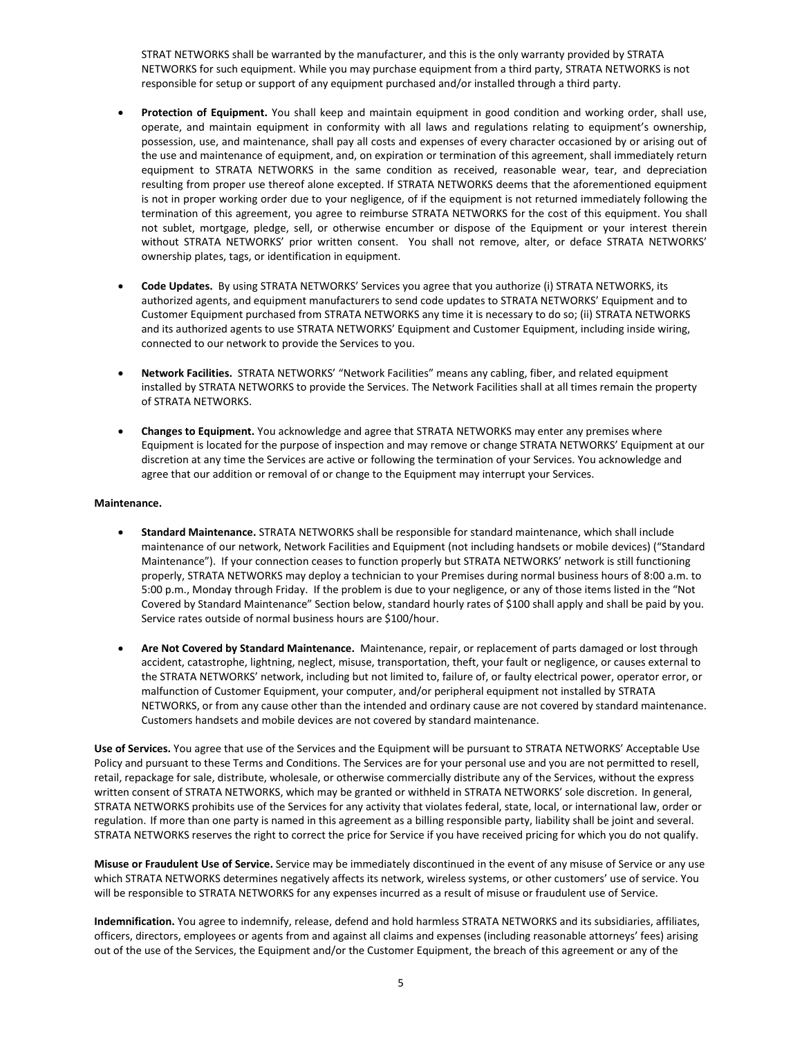STRAT NETWORKS shall be warranted by the manufacturer, and this is the only warranty provided by STRATA NETWORKS for such equipment. While you may purchase equipment from a third party, STRATA NETWORKS is not responsible for setup or support of any equipment purchased and/or installed through a third party.

- **Protection of Equipment.** You shall keep and maintain equipment in good condition and working order, shall use, operate, and maintain equipment in conformity with all laws and regulations relating to equipment's ownership, possession, use, and maintenance, shall pay all costs and expenses of every character occasioned by or arising out of the use and maintenance of equipment, and, on expiration or termination of this agreement, shall immediately return equipment to STRATA NETWORKS in the same condition as received, reasonable wear, tear, and depreciation resulting from proper use thereof alone excepted. If STRATA NETWORKS deems that the aforementioned equipment is not in proper working order due to your negligence, of if the equipment is not returned immediately following the termination of this agreement, you agree to reimburse STRATA NETWORKS for the cost of this equipment. You shall not sublet, mortgage, pledge, sell, or otherwise encumber or dispose of the Equipment or your interest therein without STRATA NETWORKS' prior written consent. You shall not remove, alter, or deface STRATA NETWORKS' ownership plates, tags, or identification in equipment.
- **Code Updates.** By using STRATA NETWORKS' Services you agree that you authorize (i) STRATA NETWORKS, its authorized agents, and equipment manufacturers to send code updates to STRATA NETWORKS' Equipment and to Customer Equipment purchased from STRATA NETWORKS any time it is necessary to do so; (ii) STRATA NETWORKS and its authorized agents to use STRATA NETWORKS' Equipment and Customer Equipment, including inside wiring, connected to our network to provide the Services to you.
- **Network Facilities.** STRATA NETWORKS' "Network Facilities" means any cabling, fiber, and related equipment installed by STRATA NETWORKS to provide the Services. The Network Facilities shall at all times remain the property of STRATA NETWORKS.
- **Changes to Equipment.** You acknowledge and agree that STRATA NETWORKS may enter any premises where Equipment is located for the purpose of inspection and may remove or change STRATA NETWORKS' Equipment at our discretion at any time the Services are active or following the termination of your Services. You acknowledge and agree that our addition or removal of or change to the Equipment may interrupt your Services.

#### **Maintenance.**

- **Standard Maintenance.** STRATA NETWORKS shall be responsible for standard maintenance, which shall include maintenance of our network, Network Facilities and Equipment (not including handsets or mobile devices) ("Standard Maintenance"). If your connection ceases to function properly but STRATA NETWORKS' network is still functioning properly, STRATA NETWORKS may deploy a technician to your Premises during normal business hours of 8:00 a.m. to 5:00 p.m., Monday through Friday. If the problem is due to your negligence, or any of those items listed in the "Not Covered by Standard Maintenance" Section below, standard hourly rates of \$100 shall apply and shall be paid by you. Service rates outside of normal business hours are \$100/hour.
- **Are Not Covered by Standard Maintenance.** Maintenance, repair, or replacement of parts damaged or lost through accident, catastrophe, lightning, neglect, misuse, transportation, theft, your fault or negligence, or causes external to the STRATA NETWORKS' network, including but not limited to, failure of, or faulty electrical power, operator error, or malfunction of Customer Equipment, your computer, and/or peripheral equipment not installed by STRATA NETWORKS, or from any cause other than the intended and ordinary cause are not covered by standard maintenance. Customers handsets and mobile devices are not covered by standard maintenance.

**Use of Services.** You agree that use of the Services and the Equipment will be pursuant to STRATA NETWORKS' Acceptable Use Policy and pursuant to these Terms and Conditions. The Services are for your personal use and you are not permitted to resell, retail, repackage for sale, distribute, wholesale, or otherwise commercially distribute any of the Services, without the express written consent of STRATA NETWORKS, which may be granted or withheld in STRATA NETWORKS' sole discretion. In general, STRATA NETWORKS prohibits use of the Services for any activity that violates federal, state, local, or international law, order or regulation. If more than one party is named in this agreement as a billing responsible party, liability shall be joint and several. STRATA NETWORKS reserves the right to correct the price for Service if you have received pricing for which you do not qualify.

**Misuse or Fraudulent Use of Service.** Service may be immediately discontinued in the event of any misuse of Service or any use which STRATA NETWORKS determines negatively affects its network, wireless systems, or other customers' use of service. You will be responsible to STRATA NETWORKS for any expenses incurred as a result of misuse or fraudulent use of Service.

**Indemnification.** You agree to indemnify, release, defend and hold harmless STRATA NETWORKS and its subsidiaries, affiliates, officers, directors, employees or agents from and against all claims and expenses (including reasonable attorneys' fees) arising out of the use of the Services, the Equipment and/or the Customer Equipment, the breach of this agreement or any of the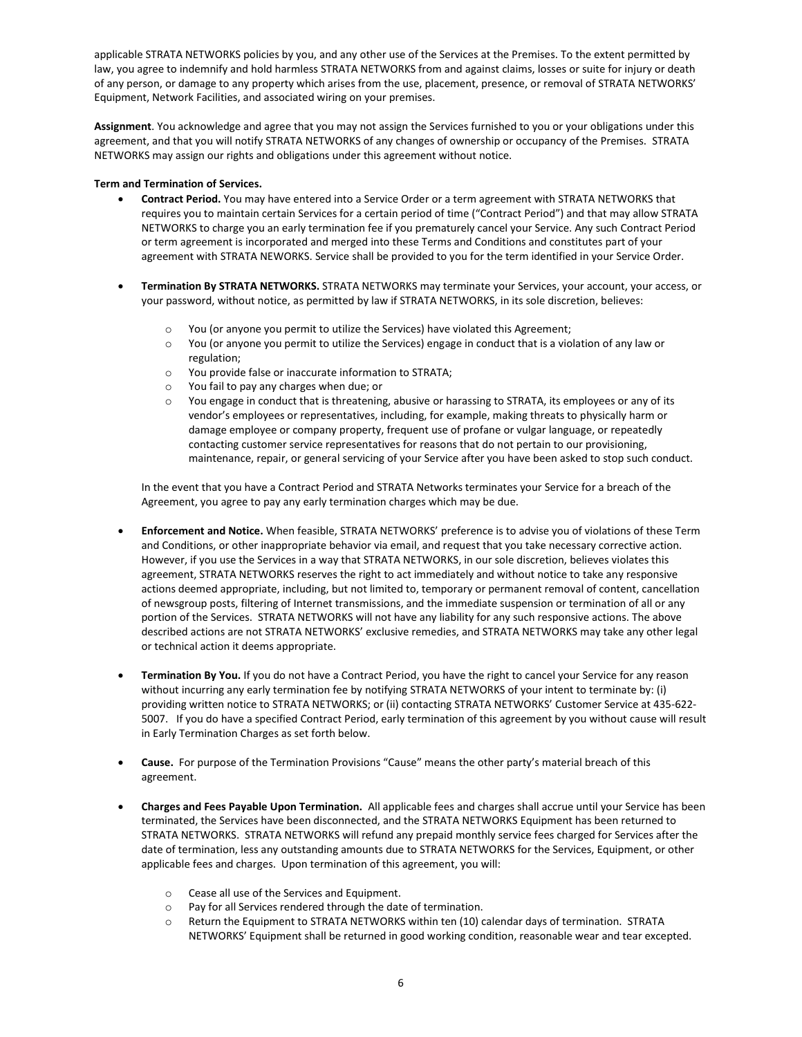applicable STRATA NETWORKS policies by you, and any other use of the Services at the Premises. To the extent permitted by law, you agree to indemnify and hold harmless STRATA NETWORKS from and against claims, losses or suite for injury or death of any person, or damage to any property which arises from the use, placement, presence, or removal of STRATA NETWORKS' Equipment, Network Facilities, and associated wiring on your premises.

**Assignment**. You acknowledge and agree that you may not assign the Services furnished to you or your obligations under this agreement, and that you will notify STRATA NETWORKS of any changes of ownership or occupancy of the Premises. STRATA NETWORKS may assign our rights and obligations under this agreement without notice.

### **Term and Termination of Services.**

- **Contract Period.** You may have entered into a Service Order or a term agreement with STRATA NETWORKS that requires you to maintain certain Services for a certain period of time ("Contract Period") and that may allow STRATA NETWORKS to charge you an early termination fee if you prematurely cancel your Service. Any such Contract Period or term agreement is incorporated and merged into these Terms and Conditions and constitutes part of your agreement with STRATA NEWORKS. Service shall be provided to you for the term identified in your Service Order.
- **Termination By STRATA NETWORKS.** STRATA NETWORKS may terminate your Services, your account, your access, or your password, without notice, as permitted by law if STRATA NETWORKS, in its sole discretion, believes:
	- o You (or anyone you permit to utilize the Services) have violated this Agreement;
	- o You (or anyone you permit to utilize the Services) engage in conduct that is a violation of any law or regulation;
	- o You provide false or inaccurate information to STRATA;
	- o You fail to pay any charges when due; or
	- $\circ$  You engage in conduct that is threatening, abusive or harassing to STRATA, its employees or any of its vendor's employees or representatives, including, for example, making threats to physically harm or damage employee or company property, frequent use of profane or vulgar language, or repeatedly contacting customer service representatives for reasons that do not pertain to our provisioning, maintenance, repair, or general servicing of your Service after you have been asked to stop such conduct.

In the event that you have a Contract Period and STRATA Networks terminates your Service for a breach of the Agreement, you agree to pay any early termination charges which may be due.

- **Enforcement and Notice.** When feasible, STRATA NETWORKS' preference is to advise you of violations of these Term and Conditions, or other inappropriate behavior via email, and request that you take necessary corrective action. However, if you use the Services in a way that STRATA NETWORKS, in our sole discretion, believes violates this agreement, STRATA NETWORKS reserves the right to act immediately and without notice to take any responsive actions deemed appropriate, including, but not limited to, temporary or permanent removal of content, cancellation of newsgroup posts, filtering of Internet transmissions, and the immediate suspension or termination of all or any portion of the Services. STRATA NETWORKS will not have any liability for any such responsive actions. The above described actions are not STRATA NETWORKS' exclusive remedies, and STRATA NETWORKS may take any other legal or technical action it deems appropriate.
- **Termination By You.** If you do not have a Contract Period, you have the right to cancel your Service for any reason without incurring any early termination fee by notifying STRATA NETWORKS of your intent to terminate by: (i) providing written notice to STRATA NETWORKS; or (ii) contacting STRATA NETWORKS' Customer Service at 435-622- 5007. If you do have a specified Contract Period, early termination of this agreement by you without cause will result in Early Termination Charges as set forth below.
- **Cause.** For purpose of the Termination Provisions "Cause" means the other party's material breach of this agreement.
- **Charges and Fees Payable Upon Termination.** All applicable fees and charges shall accrue until your Service has been terminated, the Services have been disconnected, and the STRATA NETWORKS Equipment has been returned to STRATA NETWORKS. STRATA NETWORKS will refund any prepaid monthly service fees charged for Services after the date of termination, less any outstanding amounts due to STRATA NETWORKS for the Services, Equipment, or other applicable fees and charges. Upon termination of this agreement, you will:
	- o Cease all use of the Services and Equipment.
	- o Pay for all Services rendered through the date of termination.
	- o Return the Equipment to STRATA NETWORKS within ten (10) calendar days of termination. STRATA NETWORKS' Equipment shall be returned in good working condition, reasonable wear and tear excepted.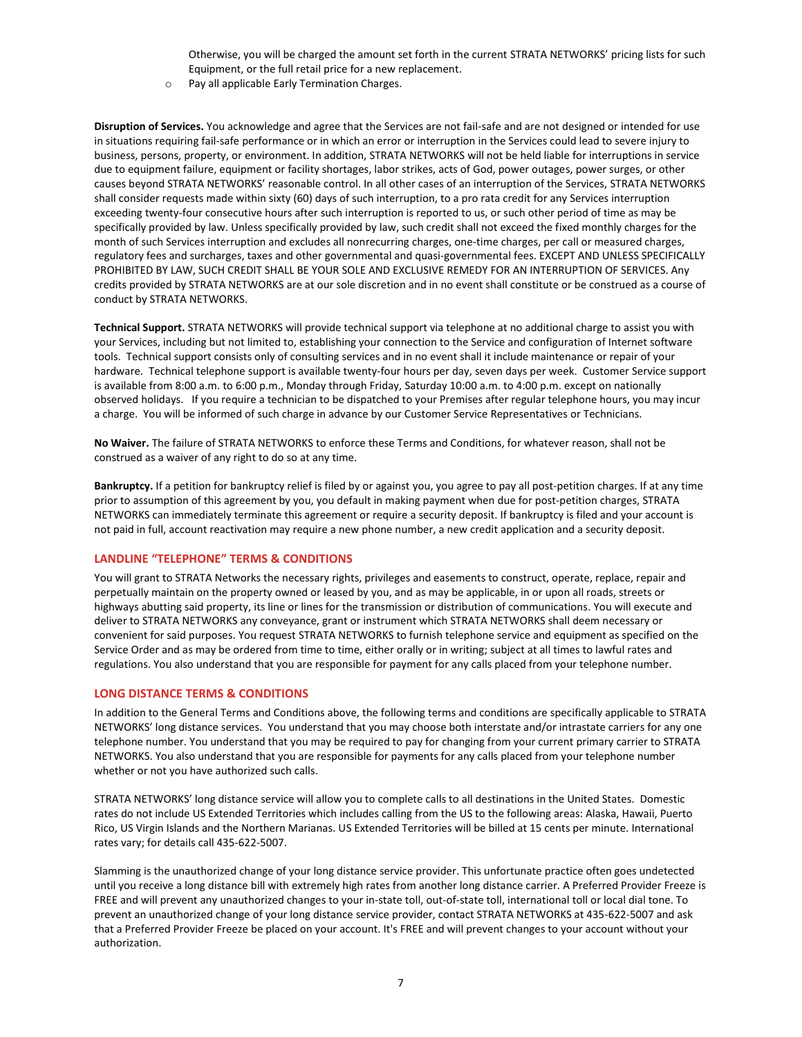Otherwise, you will be charged the amount set forth in the current STRATA NETWORKS' pricing lists for such Equipment, or the full retail price for a new replacement.

o Pay all applicable Early Termination Charges.

**Disruption of Services.** You acknowledge and agree that the Services are not fail-safe and are not designed or intended for use in situations requiring fail-safe performance or in which an error or interruption in the Services could lead to severe injury to business, persons, property, or environment. In addition, STRATA NETWORKS will not be held liable for interruptions in service due to equipment failure, equipment or facility shortages, labor strikes, acts of God, power outages, power surges, or other causes beyond STRATA NETWORKS' reasonable control. In all other cases of an interruption of the Services, STRATA NETWORKS shall consider requests made within sixty (60) days of such interruption, to a pro rata credit for any Services interruption exceeding twenty-four consecutive hours after such interruption is reported to us, or such other period of time as may be specifically provided by law. Unless specifically provided by law, such credit shall not exceed the fixed monthly charges for the month of such Services interruption and excludes all nonrecurring charges, one-time charges, per call or measured charges, regulatory fees and surcharges, taxes and other governmental and quasi-governmental fees. EXCEPT AND UNLESS SPECIFICALLY PROHIBITED BY LAW, SUCH CREDIT SHALL BE YOUR SOLE AND EXCLUSIVE REMEDY FOR AN INTERRUPTION OF SERVICES. Any credits provided by STRATA NETWORKS are at our sole discretion and in no event shall constitute or be construed as a course of conduct by STRATA NETWORKS.

**Technical Support.** STRATA NETWORKS will provide technical support via telephone at no additional charge to assist you with your Services, including but not limited to, establishing your connection to the Service and configuration of Internet software tools. Technical support consists only of consulting services and in no event shall it include maintenance or repair of your hardware. Technical telephone support is available twenty-four hours per day, seven days per week. Customer Service support is available from 8:00 a.m. to 6:00 p.m., Monday through Friday, Saturday 10:00 a.m. to 4:00 p.m. except on nationally observed holidays. If you require a technician to be dispatched to your Premises after regular telephone hours, you may incur a charge. You will be informed of such charge in advance by our Customer Service Representatives or Technicians.

**No Waiver.** The failure of STRATA NETWORKS to enforce these Terms and Conditions, for whatever reason, shall not be construed as a waiver of any right to do so at any time.

**Bankruptcy.** If a petition for bankruptcy relief is filed by or against you, you agree to pay all post-petition charges. If at any time prior to assumption of this agreement by you, you default in making payment when due for post-petition charges, STRATA NETWORKS can immediately terminate this agreement or require a security deposit. If bankruptcy is filed and your account is not paid in full, account reactivation may require a new phone number, a new credit application and a security deposit.

### **LANDLINE "TELEPHONE" TERMS & CONDITIONS**

You will grant to STRATA Networks the necessary rights, privileges and easements to construct, operate, replace, repair and perpetually maintain on the property owned or leased by you, and as may be applicable, in or upon all roads, streets or highways abutting said property, its line or lines for the transmission or distribution of communications. You will execute and deliver to STRATA NETWORKS any conveyance, grant or instrument which STRATA NETWORKS shall deem necessary or convenient for said purposes. You request STRATA NETWORKS to furnish telephone service and equipment as specified on the Service Order and as may be ordered from time to time, either orally or in writing; subject at all times to lawful rates and regulations. You also understand that you are responsible for payment for any calls placed from your telephone number.

#### **LONG DISTANCE TERMS & CONDITIONS**

In addition to the General Terms and Conditions above, the following terms and conditions are specifically applicable to STRATA NETWORKS' long distance services. You understand that you may choose both interstate and/or intrastate carriers for any one telephone number. You understand that you may be required to pay for changing from your current primary carrier to STRATA NETWORKS. You also understand that you are responsible for payments for any calls placed from your telephone number whether or not you have authorized such calls.

STRATA NETWORKS' long distance service will allow you to complete calls to all destinations in the United States. Domestic rates do not include US Extended Territories which includes calling from the US to the following areas: Alaska, Hawaii, Puerto Rico, US Virgin Islands and the Northern Marianas. US Extended Territories will be billed at 15 cents per minute. International rates vary; for details call 435-622-5007.

Slamming is the unauthorized change of your long distance service provider. This unfortunate practice often goes undetected until you receive a long distance bill with extremely high rates from another long distance carrier. A Preferred Provider Freeze is FREE and will prevent any unauthorized changes to your in-state toll, out-of-state toll, international toll or local dial tone. To prevent an unauthorized change of your long distance service provider, contact STRATA NETWORKS at 435-622-5007 and ask that a Preferred Provider Freeze be placed on your account. It's FREE and will prevent changes to your account without your authorization.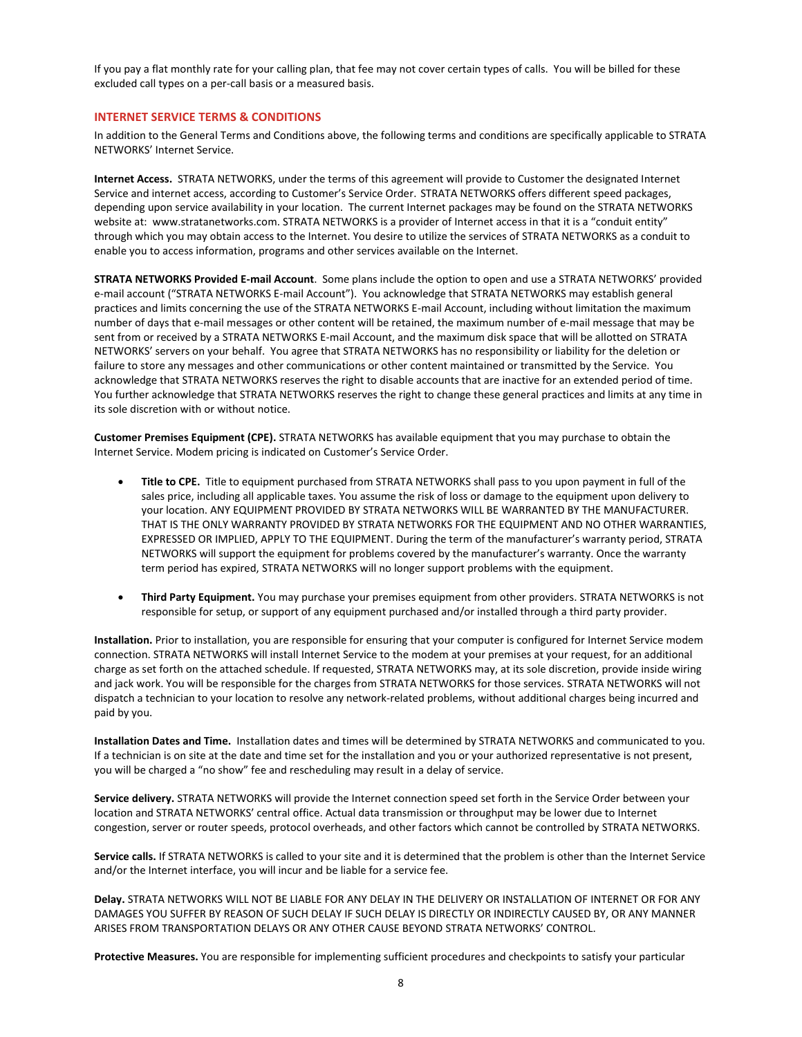If you pay a flat monthly rate for your calling plan, that fee may not cover certain types of calls. You will be billed for these excluded call types on a per-call basis or a measured basis.

#### **INTERNET SERVICE TERMS & CONDITIONS**

In addition to the General Terms and Conditions above, the following terms and conditions are specifically applicable to STRATA NETWORKS' Internet Service.

**Internet Access.** STRATA NETWORKS, under the terms of this agreement will provide to Customer the designated Internet Service and internet access, according to Customer's Service Order. STRATA NETWORKS offers different speed packages, depending upon service availability in your location. The current Internet packages may be found on the STRATA NETWORKS website at: www.stratanetworks.com. STRATA NETWORKS is a provider of Internet access in that it is a "conduit entity" through which you may obtain access to the Internet. You desire to utilize the services of STRATA NETWORKS as a conduit to enable you to access information, programs and other services available on the Internet.

**STRATA NETWORKS Provided E-mail Account**. Some plans include the option to open and use a STRATA NETWORKS' provided e-mail account ("STRATA NETWORKS E-mail Account"). You acknowledge that STRATA NETWORKS may establish general practices and limits concerning the use of the STRATA NETWORKS E-mail Account, including without limitation the maximum number of days that e-mail messages or other content will be retained, the maximum number of e-mail message that may be sent from or received by a STRATA NETWORKS E-mail Account, and the maximum disk space that will be allotted on STRATA NETWORKS' servers on your behalf. You agree that STRATA NETWORKS has no responsibility or liability for the deletion or failure to store any messages and other communications or other content maintained or transmitted by the Service. You acknowledge that STRATA NETWORKS reserves the right to disable accounts that are inactive for an extended period of time. You further acknowledge that STRATA NETWORKS reserves the right to change these general practices and limits at any time in its sole discretion with or without notice.

**Customer Premises Equipment (CPE).** STRATA NETWORKS has available equipment that you may purchase to obtain the Internet Service. Modem pricing is indicated on Customer's Service Order.

- **Title to CPE.** Title to equipment purchased from STRATA NETWORKS shall pass to you upon payment in full of the sales price, including all applicable taxes. You assume the risk of loss or damage to the equipment upon delivery to your location. ANY EQUIPMENT PROVIDED BY STRATA NETWORKS WILL BE WARRANTED BY THE MANUFACTURER. THAT IS THE ONLY WARRANTY PROVIDED BY STRATA NETWORKS FOR THE EQUIPMENT AND NO OTHER WARRANTIES, EXPRESSED OR IMPLIED, APPLY TO THE EQUIPMENT. During the term of the manufacturer's warranty period, STRATA NETWORKS will support the equipment for problems covered by the manufacturer's warranty. Once the warranty term period has expired, STRATA NETWORKS will no longer support problems with the equipment.
- **Third Party Equipment.** You may purchase your premises equipment from other providers. STRATA NETWORKS is not responsible for setup, or support of any equipment purchased and/or installed through a third party provider.

**Installation.** Prior to installation, you are responsible for ensuring that your computer is configured for Internet Service modem connection. STRATA NETWORKS will install Internet Service to the modem at your premises at your request, for an additional charge as set forth on the attached schedule. If requested, STRATA NETWORKS may, at its sole discretion, provide inside wiring and jack work. You will be responsible for the charges from STRATA NETWORKS for those services. STRATA NETWORKS will not dispatch a technician to your location to resolve any network-related problems, without additional charges being incurred and paid by you.

**Installation Dates and Time.** Installation dates and times will be determined by STRATA NETWORKS and communicated to you. If a technician is on site at the date and time set for the installation and you or your authorized representative is not present, you will be charged a "no show" fee and rescheduling may result in a delay of service.

**Service delivery.** STRATA NETWORKS will provide the Internet connection speed set forth in the Service Order between your location and STRATA NETWORKS' central office. Actual data transmission or throughput may be lower due to Internet congestion, server or router speeds, protocol overheads, and other factors which cannot be controlled by STRATA NETWORKS.

**Service calls.** If STRATA NETWORKS is called to your site and it is determined that the problem is other than the Internet Service and/or the Internet interface, you will incur and be liable for a service fee.

**Delay.** STRATA NETWORKS WILL NOT BE LIABLE FOR ANY DELAY IN THE DELIVERY OR INSTALLATION OF INTERNET OR FOR ANY DAMAGES YOU SUFFER BY REASON OF SUCH DELAY IF SUCH DELAY IS DIRECTLY OR INDIRECTLY CAUSED BY, OR ANY MANNER ARISES FROM TRANSPORTATION DELAYS OR ANY OTHER CAUSE BEYOND STRATA NETWORKS' CONTROL.

**Protective Measures.** You are responsible for implementing sufficient procedures and checkpoints to satisfy your particular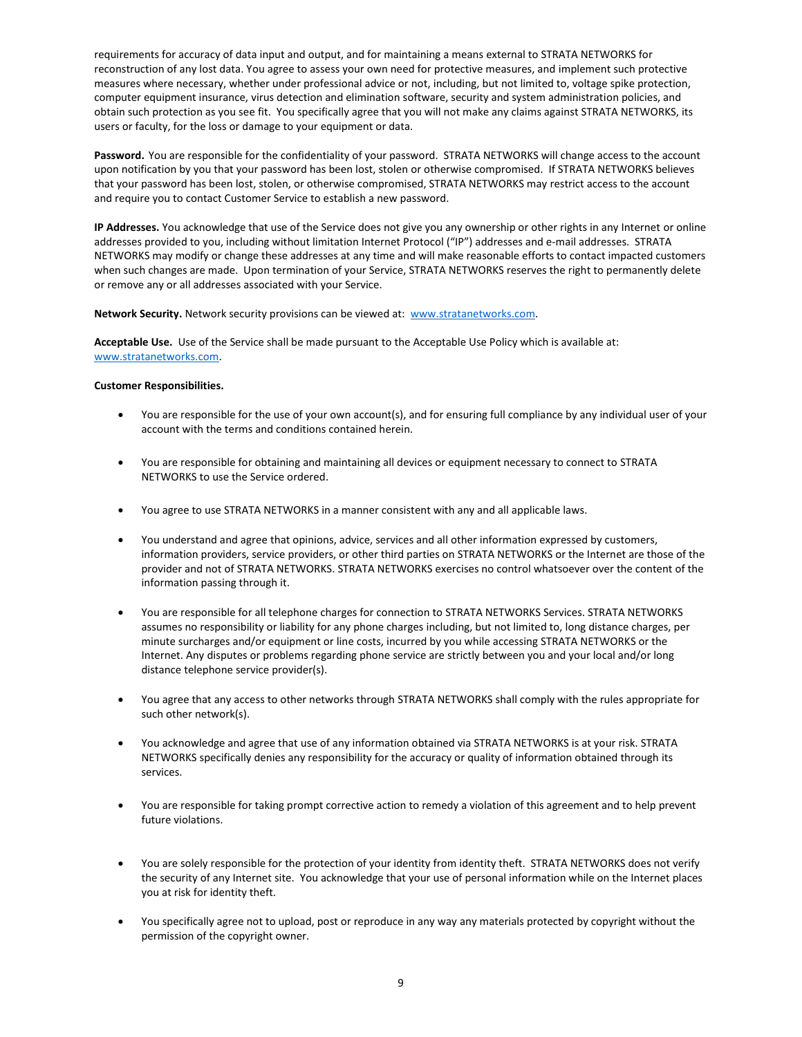requirements for accuracy of data input and output, and for maintaining a means external to STRATA NETWORKS for reconstruction of any lost data. You agree to assess your own need for protective measures, and implement such protective measures where necessary, whether under professional advice or not, including, but not limited to, voltage spike protection, computer equipment insurance, virus detection and elimination software, security and system administration policies, and obtain such protection as you see fit. You specifically agree that you will not make any claims against STRATA NETWORKS, its users or faculty, for the loss or damage to your equipment or data.

**Password.** You are responsible for the confidentiality of your password. STRATA NETWORKS will change access to the account upon notification by you that your password has been lost, stolen or otherwise compromised. If STRATA NETWORKS believes that your password has been lost, stolen, or otherwise compromised, STRATA NETWORKS may restrict access to the account and require you to contact Customer Service to establish a new password.

**IP Addresses.** You acknowledge that use of the Service does not give you any ownership or other rights in any Internet or online addresses provided to you, including without limitation Internet Protocol ("IP") addresses and e-mail addresses. STRATA NETWORKS may modify or change these addresses at any time and will make reasonable efforts to contact impacted customers when such changes are made. Upon termination of your Service, STRATA NETWORKS reserves the right to permanently delete or remove any or all addresses associated with your Service.

**Network Security.** Network security provisions can be viewed at: [www.stratanetworks.com.](http://www.stratanetworks.com/)

**Acceptable Use.** Use of the Service shall be made pursuant to the Acceptable Use Policy which is available at: [www.stratanetworks.com.](http://www.stratanetworks.com/)

### **Customer Responsibilities.**

- You are responsible for the use of your own account(s), and for ensuring full compliance by any individual user of your account with the terms and conditions contained herein.
- You are responsible for obtaining and maintaining all devices or equipment necessary to connect to STRATA NETWORKS to use the Service ordered.
- You agree to use STRATA NETWORKS in a manner consistent with any and all applicable laws.
- You understand and agree that opinions, advice, services and all other information expressed by customers, information providers, service providers, or other third parties on STRATA NETWORKS or the Internet are those of the provider and not of STRATA NETWORKS. STRATA NETWORKS exercises no control whatsoever over the content of the information passing through it.
- You are responsible for all telephone charges for connection to STRATA NETWORKS Services. STRATA NETWORKS assumes no responsibility or liability for any phone charges including, but not limited to, long distance charges, per minute surcharges and/or equipment or line costs, incurred by you while accessing STRATA NETWORKS or the Internet. Any disputes or problems regarding phone service are strictly between you and your local and/or long distance telephone service provider(s).
- You agree that any access to other networks through STRATA NETWORKS shall comply with the rules appropriate for such other network(s).
- You acknowledge and agree that use of any information obtained via STRATA NETWORKS is at your risk. STRATA NETWORKS specifically denies any responsibility for the accuracy or quality of information obtained through its services.
- You are responsible for taking prompt corrective action to remedy a violation of this agreement and to help prevent future violations.
- You are solely responsible for the protection of your identity from identity theft. STRATA NETWORKS does not verify the security of any Internet site. You acknowledge that your use of personal information while on the Internet places you at risk for identity theft.
- You specifically agree not to upload, post or reproduce in any way any materials protected by copyright without the permission of the copyright owner.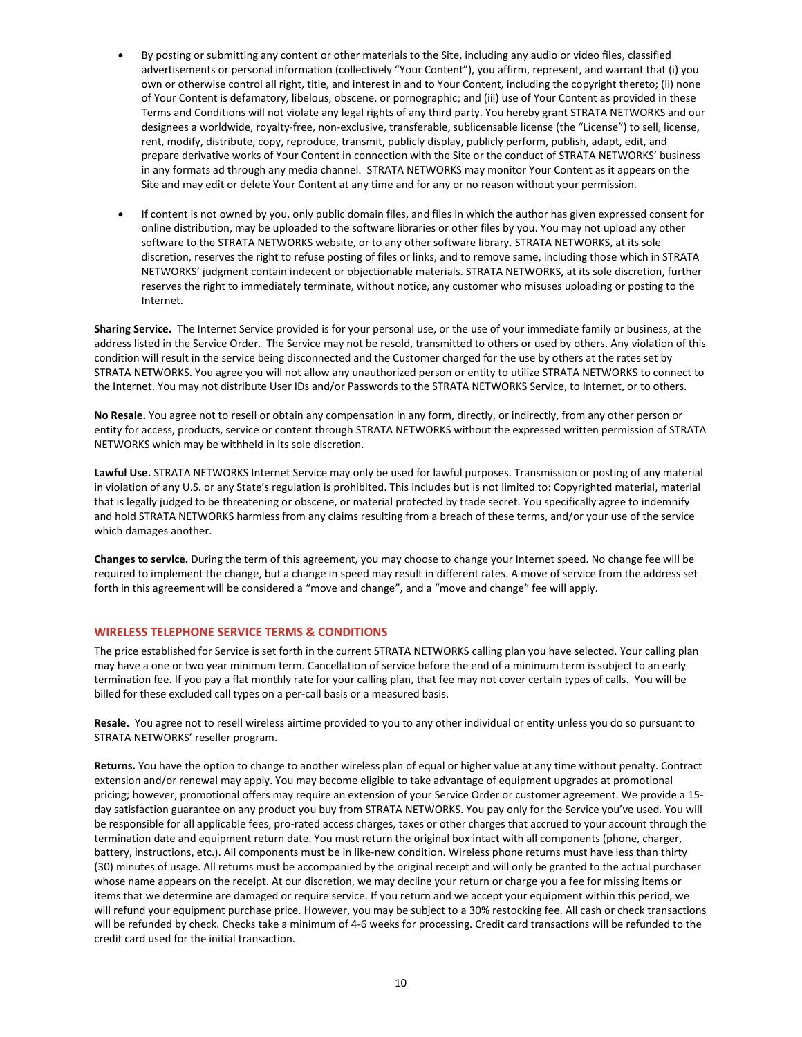- By posting or submitting any content or other materials to the Site, including any audio or video files, classified advertisements or personal information (collectively "Your Content"), you affirm, represent, and warrant that (i) you own or otherwise control all right, title, and interest in and to Your Content, including the copyright thereto; (ii) none of Your Content is defamatory, libelous, obscene, or pornographic; and (iii) use of Your Content as provided in these Terms and Conditions will not violate any legal rights of any third party. You hereby grant STRATA NETWORKS and our designees a worldwide, royalty-free, non-exclusive, transferable, sublicensable license (the "License") to sell, license, rent, modify, distribute, copy, reproduce, transmit, publicly display, publicly perform, publish, adapt, edit, and prepare derivative works of Your Content in connection with the Site or the conduct of STRATA NETWORKS' business in any formats ad through any media channel. STRATA NETWORKS may monitor Your Content as it appears on the Site and may edit or delete Your Content at any time and for any or no reason without your permission.
- If content is not owned by you, only public domain files, and files in which the author has given expressed consent for online distribution, may be uploaded to the software libraries or other files by you. You may not upload any other software to the STRATA NETWORKS website, or to any other software library. STRATA NETWORKS, at its sole discretion, reserves the right to refuse posting of files or links, and to remove same, including those which in STRATA NETWORKS' judgment contain indecent or objectionable materials. STRATA NETWORKS, at its sole discretion, further reserves the right to immediately terminate, without notice, any customer who misuses uploading or posting to the Internet.

**Sharing Service.** The Internet Service provided is for your personal use, or the use of your immediate family or business, at the address listed in the Service Order. The Service may not be resold, transmitted to others or used by others. Any violation of this condition will result in the service being disconnected and the Customer charged for the use by others at the rates set by STRATA NETWORKS. You agree you will not allow any unauthorized person or entity to utilize STRATA NETWORKS to connect to the Internet. You may not distribute User IDs and/or Passwords to the STRATA NETWORKS Service, to Internet, or to others.

**No Resale.** You agree not to resell or obtain any compensation in any form, directly, or indirectly, from any other person or entity for access, products, service or content through STRATA NETWORKS without the expressed written permission of STRATA NETWORKS which may be withheld in its sole discretion.

**Lawful Use.** STRATA NETWORKS Internet Service may only be used for lawful purposes. Transmission or posting of any material in violation of any U.S. or any State's regulation is prohibited. This includes but is not limited to: Copyrighted material, material that is legally judged to be threatening or obscene, or material protected by trade secret. You specifically agree to indemnify and hold STRATA NETWORKS harmless from any claims resulting from a breach of these terms, and/or your use of the service which damages another.

**Changes to service.** During the term of this agreement, you may choose to change your Internet speed. No change fee will be required to implement the change, but a change in speed may result in different rates. A move of service from the address set forth in this agreement will be considered a "move and change", and a "move and change" fee will apply.

### **WIRELESS TELEPHONE SERVICE TERMS & CONDITIONS**

The price established for Service is set forth in the current STRATA NETWORKS calling plan you have selected. Your calling plan may have a one or two year minimum term. Cancellation of service before the end of a minimum term is subject to an early termination fee. If you pay a flat monthly rate for your calling plan, that fee may not cover certain types of calls. You will be billed for these excluded call types on a per-call basis or a measured basis.

**Resale.** You agree not to resell wireless airtime provided to you to any other individual or entity unless you do so pursuant to STRATA NETWORKS' reseller program.

**Returns.** You have the option to change to another wireless plan of equal or higher value at any time without penalty. Contract extension and/or renewal may apply. You may become eligible to take advantage of equipment upgrades at promotional pricing; however, promotional offers may require an extension of your Service Order or customer agreement. We provide a 15 day satisfaction guarantee on any product you buy from STRATA NETWORKS. You pay only for the Service you've used. You will be responsible for all applicable fees, pro-rated access charges, taxes or other charges that accrued to your account through the termination date and equipment return date. You must return the original box intact with all components (phone, charger, battery, instructions, etc.). All components must be in like-new condition. Wireless phone returns must have less than thirty (30) minutes of usage. All returns must be accompanied by the original receipt and will only be granted to the actual purchaser whose name appears on the receipt. At our discretion, we may decline your return or charge you a fee for missing items or items that we determine are damaged or require service. If you return and we accept your equipment within this period, we will refund your equipment purchase price. However, you may be subject to a 30% restocking fee. All cash or check transactions will be refunded by check. Checks take a minimum of 4-6 weeks for processing. Credit card transactions will be refunded to the credit card used for the initial transaction.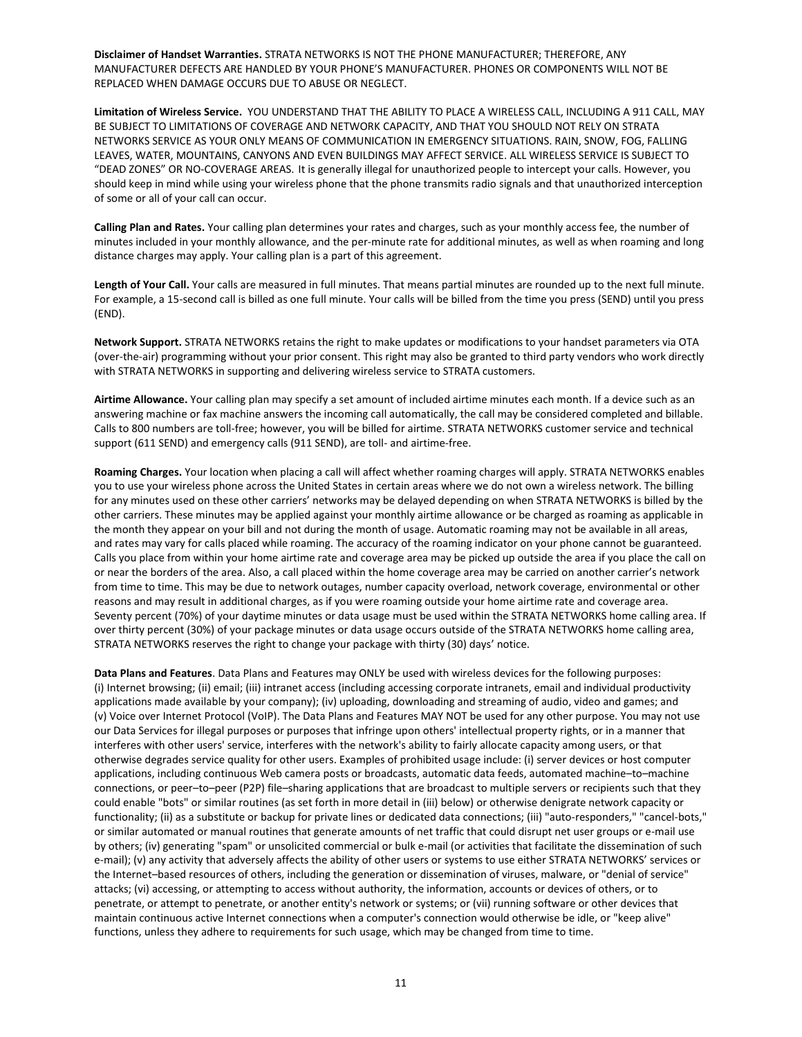**Disclaimer of Handset Warranties.** STRATA NETWORKS IS NOT THE PHONE MANUFACTURER; THEREFORE, ANY MANUFACTURER DEFECTS ARE HANDLED BY YOUR PHONE'S MANUFACTURER. PHONES OR COMPONENTS WILL NOT BE REPLACED WHEN DAMAGE OCCURS DUE TO ABUSE OR NEGLECT.

**Limitation of Wireless Service.** YOU UNDERSTAND THAT THE ABILITY TO PLACE A WIRELESS CALL, INCLUDING A 911 CALL, MAY BE SUBJECT TO LIMITATIONS OF COVERAGE AND NETWORK CAPACITY, AND THAT YOU SHOULD NOT RELY ON STRATA NETWORKS SERVICE AS YOUR ONLY MEANS OF COMMUNICATION IN EMERGENCY SITUATIONS. RAIN, SNOW, FOG, FALLING LEAVES, WATER, MOUNTAINS, CANYONS AND EVEN BUILDINGS MAY AFFECT SERVICE. ALL WIRELESS SERVICE IS SUBJECT TO "DEAD ZONES" OR NO-COVERAGE AREAS. It is generally illegal for unauthorized people to intercept your calls. However, you should keep in mind while using your wireless phone that the phone transmits radio signals and that unauthorized interception of some or all of your call can occur.

**Calling Plan and Rates.** Your calling plan determines your rates and charges, such as your monthly access fee, the number of minutes included in your monthly allowance, and the per-minute rate for additional minutes, as well as when roaming and long distance charges may apply. Your calling plan is a part of this agreement.

**Length of Your Call.** Your calls are measured in full minutes. That means partial minutes are rounded up to the next full minute. For example, a 15-second call is billed as one full minute. Your calls will be billed from the time you press (SEND) until you press (END).

**Network Support.** STRATA NETWORKS retains the right to make updates or modifications to your handset parameters via OTA (over-the-air) programming without your prior consent. This right may also be granted to third party vendors who work directly with STRATA NETWORKS in supporting and delivering wireless service to STRATA customers.

**Airtime Allowance.** Your calling plan may specify a set amount of included airtime minutes each month. If a device such as an answering machine or fax machine answers the incoming call automatically, the call may be considered completed and billable. Calls to 800 numbers are toll-free; however, you will be billed for airtime. STRATA NETWORKS customer service and technical support (611 SEND) and emergency calls (911 SEND), are toll- and airtime-free.

**Roaming Charges.** Your location when placing a call will affect whether roaming charges will apply. STRATA NETWORKS enables you to use your wireless phone across the United States in certain areas where we do not own a wireless network. The billing for any minutes used on these other carriers' networks may be delayed depending on when STRATA NETWORKS is billed by the other carriers. These minutes may be applied against your monthly airtime allowance or be charged as roaming as applicable in the month they appear on your bill and not during the month of usage. Automatic roaming may not be available in all areas, and rates may vary for calls placed while roaming. The accuracy of the roaming indicator on your phone cannot be guaranteed. Calls you place from within your home airtime rate and coverage area may be picked up outside the area if you place the call on or near the borders of the area. Also, a call placed within the home coverage area may be carried on another carrier's network from time to time. This may be due to network outages, number capacity overload, network coverage, environmental or other reasons and may result in additional charges, as if you were roaming outside your home airtime rate and coverage area. Seventy percent (70%) of your daytime minutes or data usage must be used within the STRATA NETWORKS home calling area. If over thirty percent (30%) of your package minutes or data usage occurs outside of the STRATA NETWORKS home calling area, STRATA NETWORKS reserves the right to change your package with thirty (30) days' notice.

**Data Plans and Features**. Data Plans and Features may ONLY be used with wireless devices for the following purposes: (i) Internet browsing; (ii) email; (iii) intranet access (including accessing corporate intranets, email and individual productivity applications made available by your company); (iv) uploading, downloading and streaming of audio, video and games; and (v) Voice over Internet Protocol (VoIP). The Data Plans and Features MAY NOT be used for any other purpose. You may not use our Data Services for illegal purposes or purposes that infringe upon others' intellectual property rights, or in a manner that interferes with other users' service, interferes with the network's ability to fairly allocate capacity among users, or that otherwise degrades service quality for other users. Examples of prohibited usage include: (i) server devices or host computer applications, including continuous Web camera posts or broadcasts, automatic data feeds, automated machine–to–machine connections, or peer–to–peer (P2P) file–sharing applications that are broadcast to multiple servers or recipients such that they could enable "bots" or similar routines (as set forth in more detail in (iii) below) or otherwise denigrate network capacity or functionality; (ii) as a substitute or backup for private lines or dedicated data connections; (iii) "auto-responders," "cancel-bots," or similar automated or manual routines that generate amounts of net traffic that could disrupt net user groups or e-mail use by others; (iv) generating "spam" or unsolicited commercial or bulk e-mail (or activities that facilitate the dissemination of such e-mail); (v) any activity that adversely affects the ability of other users or systems to use either STRATA NETWORKS' services or the Internet–based resources of others, including the generation or dissemination of viruses, malware, or "denial of service" attacks; (vi) accessing, or attempting to access without authority, the information, accounts or devices of others, or to penetrate, or attempt to penetrate, or another entity's network or systems; or (vii) running software or other devices that maintain continuous active Internet connections when a computer's connection would otherwise be idle, or "keep alive" functions, unless they adhere to requirements for such usage, which may be changed from time to time.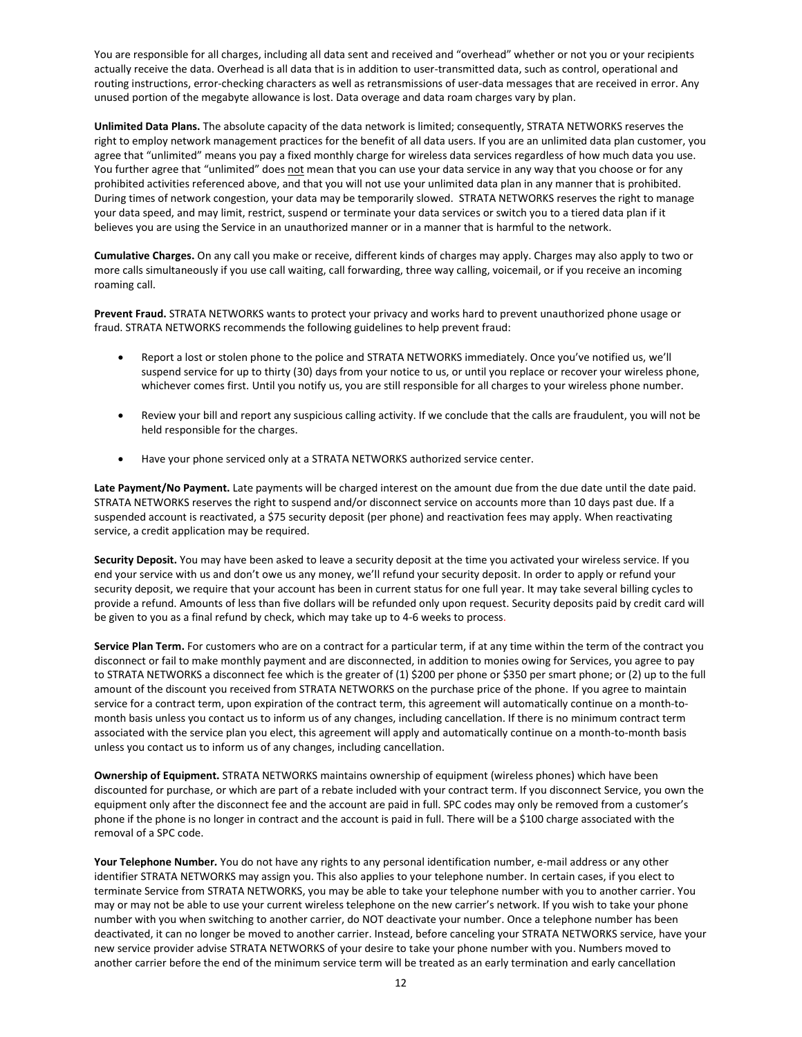You are responsible for all charges, including all data sent and received and "overhead" whether or not you or your recipients actually receive the data. Overhead is all data that is in addition to user-transmitted data, such as control, operational and routing instructions, error-checking characters as well as retransmissions of user-data messages that are received in error. Any unused portion of the megabyte allowance is lost. Data overage and data roam charges vary by plan.

**Unlimited Data Plans.** The absolute capacity of the data network is limited; consequently, STRATA NETWORKS reserves the right to employ network management practices for the benefit of all data users. If you are an unlimited data plan customer, you agree that "unlimited" means you pay a fixed monthly charge for wireless data services regardless of how much data you use. You further agree that "unlimited" does not mean that you can use your data service in any way that you choose or for any prohibited activities referenced above, and that you will not use your unlimited data plan in any manner that is prohibited. During times of network congestion, your data may be temporarily slowed. STRATA NETWORKS reserves the right to manage your data speed, and may limit, restrict, suspend or terminate your data services or switch you to a tiered data plan if it believes you are using the Service in an unauthorized manner or in a manner that is harmful to the network.

**Cumulative Charges.** On any call you make or receive, different kinds of charges may apply. Charges may also apply to two or more calls simultaneously if you use call waiting, call forwarding, three way calling, voicemail, or if you receive an incoming roaming call.

**Prevent Fraud.** STRATA NETWORKS wants to protect your privacy and works hard to prevent unauthorized phone usage or fraud. STRATA NETWORKS recommends the following guidelines to help prevent fraud:

- Report a lost or stolen phone to the police and STRATA NETWORKS immediately. Once you've notified us, we'll suspend service for up to thirty (30) days from your notice to us, or until you replace or recover your wireless phone, whichever comes first. Until you notify us, you are still responsible for all charges to your wireless phone number.
- Review your bill and report any suspicious calling activity. If we conclude that the calls are fraudulent, you will not be held responsible for the charges.
- Have your phone serviced only at a STRATA NETWORKS authorized service center.

**Late Payment/No Payment.** Late payments will be charged interest on the amount due from the due date until the date paid. STRATA NETWORKS reserves the right to suspend and/or disconnect service on accounts more than 10 days past due. If a suspended account is reactivated, a \$75 security deposit (per phone) and reactivation fees may apply. When reactivating service, a credit application may be required.

**Security Deposit.** You may have been asked to leave a security deposit at the time you activated your wireless service. If you end your service with us and don't owe us any money, we'll refund your security deposit. In order to apply or refund your security deposit, we require that your account has been in current status for one full year. It may take several billing cycles to provide a refund. Amounts of less than five dollars will be refunded only upon request. Security deposits paid by credit card will be given to you as a final refund by check, which may take up to 4-6 weeks to process.

**Service Plan Term.** For customers who are on a contract for a particular term, if at any time within the term of the contract you disconnect or fail to make monthly payment and are disconnected, in addition to monies owing for Services, you agree to pay to STRATA NETWORKS a disconnect fee which is the greater of (1) \$200 per phone or \$350 per smart phone; or (2) up to the full amount of the discount you received from STRATA NETWORKS on the purchase price of the phone. If you agree to maintain service for a contract term, upon expiration of the contract term, this agreement will automatically continue on a month-tomonth basis unless you contact us to inform us of any changes, including cancellation. If there is no minimum contract term associated with the service plan you elect, this agreement will apply and automatically continue on a month-to-month basis unless you contact us to inform us of any changes, including cancellation.

**Ownership of Equipment.** STRATA NETWORKS maintains ownership of equipment (wireless phones) which have been discounted for purchase, or which are part of a rebate included with your contract term. If you disconnect Service, you own the equipment only after the disconnect fee and the account are paid in full. SPC codes may only be removed from a customer's phone if the phone is no longer in contract and the account is paid in full. There will be a \$100 charge associated with the removal of a SPC code.

**Your Telephone Number***.* You do not have any rights to any personal identification number, e-mail address or any other identifier STRATA NETWORKS may assign you. This also applies to your telephone number. In certain cases, if you elect to terminate Service from STRATA NETWORKS, you may be able to take your telephone number with you to another carrier. You may or may not be able to use your current wireless telephone on the new carrier's network. If you wish to take your phone number with you when switching to another carrier, do NOT deactivate your number. Once a telephone number has been deactivated, it can no longer be moved to another carrier. Instead, before canceling your STRATA NETWORKS service, have your new service provider advise STRATA NETWORKS of your desire to take your phone number with you. Numbers moved to another carrier before the end of the minimum service term will be treated as an early termination and early cancellation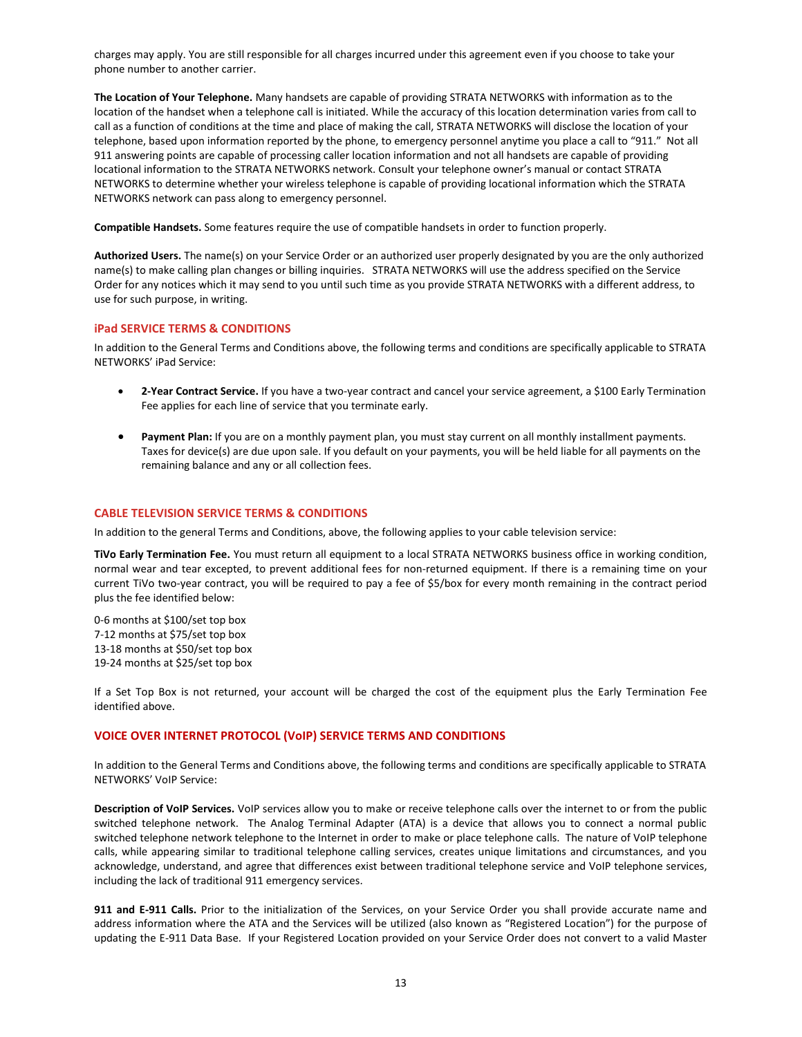charges may apply. You are still responsible for all charges incurred under this agreement even if you choose to take your phone number to another carrier.

**The Location of Your Telephone.** Many handsets are capable of providing STRATA NETWORKS with information as to the location of the handset when a telephone call is initiated. While the accuracy of this location determination varies from call to call as a function of conditions at the time and place of making the call, STRATA NETWORKS will disclose the location of your telephone, based upon information reported by the phone, to emergency personnel anytime you place a call to "911." Not all 911 answering points are capable of processing caller location information and not all handsets are capable of providing locational information to the STRATA NETWORKS network. Consult your telephone owner's manual or contact STRATA NETWORKS to determine whether your wireless telephone is capable of providing locational information which the STRATA NETWORKS network can pass along to emergency personnel.

**Compatible Handsets.** Some features require the use of compatible handsets in order to function properly.

**Authorized Users.** The name(s) on your Service Order or an authorized user properly designated by you are the only authorized name(s) to make calling plan changes or billing inquiries. STRATA NETWORKS will use the address specified on the Service Order for any notices which it may send to you until such time as you provide STRATA NETWORKS with a different address, to use for such purpose, in writing.

#### **iPad SERVICE TERMS & CONDITIONS**

In addition to the General Terms and Conditions above, the following terms and conditions are specifically applicable to STRATA NETWORKS' iPad Service:

- **2-Year Contract Service.** If you have a two-year contract and cancel your service agreement, a \$100 Early Termination Fee applies for each line of service that you terminate early.
- **Payment Plan:** If you are on a monthly payment plan, you must stay current on all monthly installment payments. Taxes for device(s) are due upon sale. If you default on your payments, you will be held liable for all payments on the remaining balance and any or all collection fees.

### **CABLE TELEVISION SERVICE TERMS & CONDITIONS**

In addition to the general Terms and Conditions, above, the following applies to your cable television service:

**TiVo Early Termination Fee.** You must return all equipment to a local STRATA NETWORKS business office in working condition, normal wear and tear excepted, to prevent additional fees for non-returned equipment. If there is a remaining time on your current TiVo two-year contract, you will be required to pay a fee of \$5/box for every month remaining in the contract period plus the fee identified below:

0-6 months at \$100/set top box 7-12 months at \$75/set top box 13-18 months at \$50/set top box 19-24 months at \$25/set top box

If a Set Top Box is not returned, your account will be charged the cost of the equipment plus the Early Termination Fee identified above.

#### **VOICE OVER INTERNET PROTOCOL (VoIP) SERVICE TERMS AND CONDITIONS**

In addition to the General Terms and Conditions above, the following terms and conditions are specifically applicable to STRATA NETWORKS' VoIP Service:

**Description of VoIP Services.** VoIP services allow you to make or receive telephone calls over the internet to or from the public switched telephone network. The Analog Terminal Adapter (ATA) is a device that allows you to connect a normal public switched telephone network telephone to the Internet in order to make or place telephone calls. The nature of VoIP telephone calls, while appearing similar to traditional telephone calling services, creates unique limitations and circumstances, and you acknowledge, understand, and agree that differences exist between traditional telephone service and VoIP telephone services, including the lack of traditional 911 emergency services.

**911 and E-911 Calls.** Prior to the initialization of the Services, on your Service Order you shall provide accurate name and address information where the ATA and the Services will be utilized (also known as "Registered Location") for the purpose of updating the E-911 Data Base. If your Registered Location provided on your Service Order does not convert to a valid Master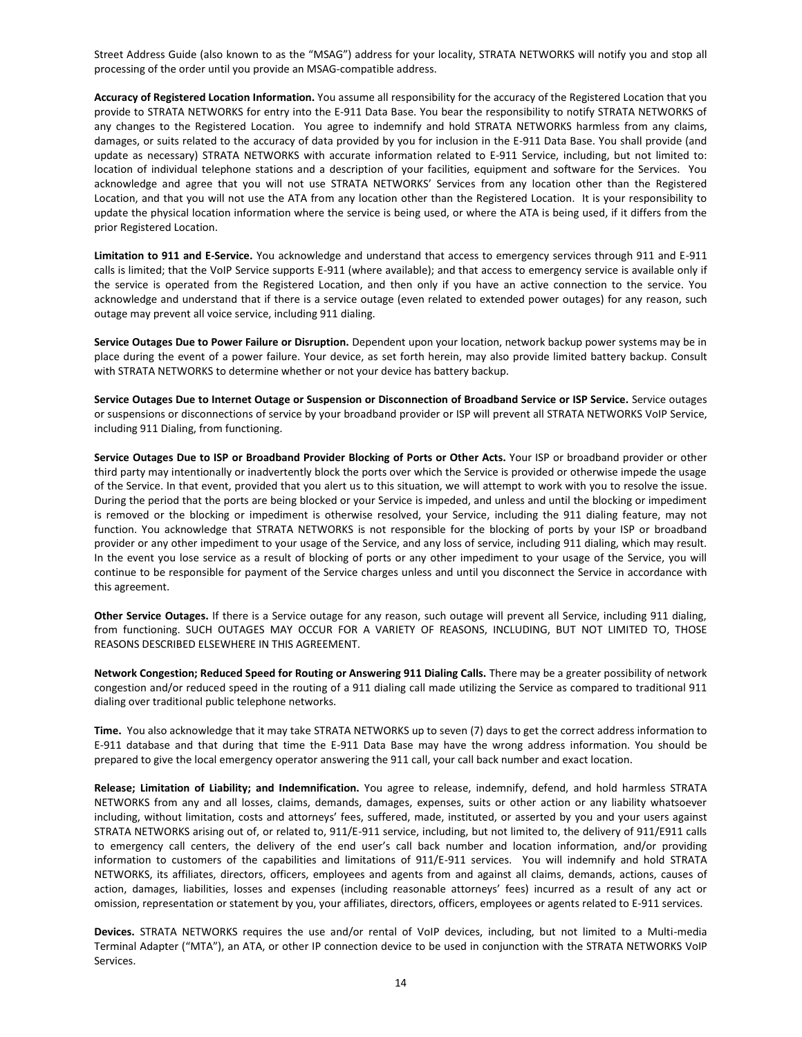Street Address Guide (also known to as the "MSAG") address for your locality, STRATA NETWORKS will notify you and stop all processing of the order until you provide an MSAG-compatible address.

**Accuracy of Registered Location Information.** You assume all responsibility for the accuracy of the Registered Location that you provide to STRATA NETWORKS for entry into the E-911 Data Base. You bear the responsibility to notify STRATA NETWORKS of any changes to the Registered Location. You agree to indemnify and hold STRATA NETWORKS harmless from any claims, damages, or suits related to the accuracy of data provided by you for inclusion in the E-911 Data Base. You shall provide (and update as necessary) STRATA NETWORKS with accurate information related to E-911 Service, including, but not limited to: location of individual telephone stations and a description of your facilities, equipment and software for the Services. You acknowledge and agree that you will not use STRATA NETWORKS' Services from any location other than the Registered Location, and that you will not use the ATA from any location other than the Registered Location. It is your responsibility to update the physical location information where the service is being used, or where the ATA is being used, if it differs from the prior Registered Location.

**Limitation to 911 and E-Service.** You acknowledge and understand that access to emergency services through 911 and E-911 calls is limited; that the VoIP Service supports E-911 (where available); and that access to emergency service is available only if the service is operated from the Registered Location, and then only if you have an active connection to the service. You acknowledge and understand that if there is a service outage (even related to extended power outages) for any reason, such outage may prevent all voice service, including 911 dialing.

**Service Outages Due to Power Failure or Disruption.** Dependent upon your location, network backup power systems may be in place during the event of a power failure. Your device, as set forth herein, may also provide limited battery backup. Consult with STRATA NETWORKS to determine whether or not your device has battery backup.

**Service Outages Due to Internet Outage or Suspension or Disconnection of Broadband Service or ISP Service.** Service outages or suspensions or disconnections of service by your broadband provider or ISP will prevent all STRATA NETWORKS VoIP Service, including 911 Dialing, from functioning.

**Service Outages Due to ISP or Broadband Provider Blocking of Ports or Other Acts.** Your ISP or broadband provider or other third party may intentionally or inadvertently block the ports over which the Service is provided or otherwise impede the usage of the Service. In that event, provided that you alert us to this situation, we will attempt to work with you to resolve the issue. During the period that the ports are being blocked or your Service is impeded, and unless and until the blocking or impediment is removed or the blocking or impediment is otherwise resolved, your Service, including the 911 dialing feature, may not function. You acknowledge that STRATA NETWORKS is not responsible for the blocking of ports by your ISP or broadband provider or any other impediment to your usage of the Service, and any loss of service, including 911 dialing, which may result. In the event you lose service as a result of blocking of ports or any other impediment to your usage of the Service, you will continue to be responsible for payment of the Service charges unless and until you disconnect the Service in accordance with this agreement.

**Other Service Outages.** If there is a Service outage for any reason, such outage will prevent all Service, including 911 dialing, from functioning. SUCH OUTAGES MAY OCCUR FOR A VARIETY OF REASONS, INCLUDING, BUT NOT LIMITED TO, THOSE REASONS DESCRIBED ELSEWHERE IN THIS AGREEMENT.

**Network Congestion; Reduced Speed for Routing or Answering 911 Dialing Calls.** There may be a greater possibility of network congestion and/or reduced speed in the routing of a 911 dialing call made utilizing the Service as compared to traditional 911 dialing over traditional public telephone networks.

**Time.** You also acknowledge that it may take STRATA NETWORKS up to seven (7) days to get the correct address information to E-911 database and that during that time the E-911 Data Base may have the wrong address information. You should be prepared to give the local emergency operator answering the 911 call, your call back number and exact location.

**Release; Limitation of Liability; and Indemnification.** You agree to release, indemnify, defend, and hold harmless STRATA NETWORKS from any and all losses, claims, demands, damages, expenses, suits or other action or any liability whatsoever including, without limitation, costs and attorneys' fees, suffered, made, instituted, or asserted by you and your users against STRATA NETWORKS arising out of, or related to, 911/E-911 service, including, but not limited to, the delivery of 911/E911 calls to emergency call centers, the delivery of the end user's call back number and location information, and/or providing information to customers of the capabilities and limitations of 911/E-911 services. You will indemnify and hold STRATA NETWORKS, its affiliates, directors, officers, employees and agents from and against all claims, demands, actions, causes of action, damages, liabilities, losses and expenses (including reasonable attorneys' fees) incurred as a result of any act or omission, representation or statement by you, your affiliates, directors, officers, employees or agents related to E-911 services.

**Devices.** STRATA NETWORKS requires the use and/or rental of VoIP devices, including, but not limited to a Multi-media Terminal Adapter ("MTA"), an ATA, or other IP connection device to be used in conjunction with the STRATA NETWORKS VoIP Services.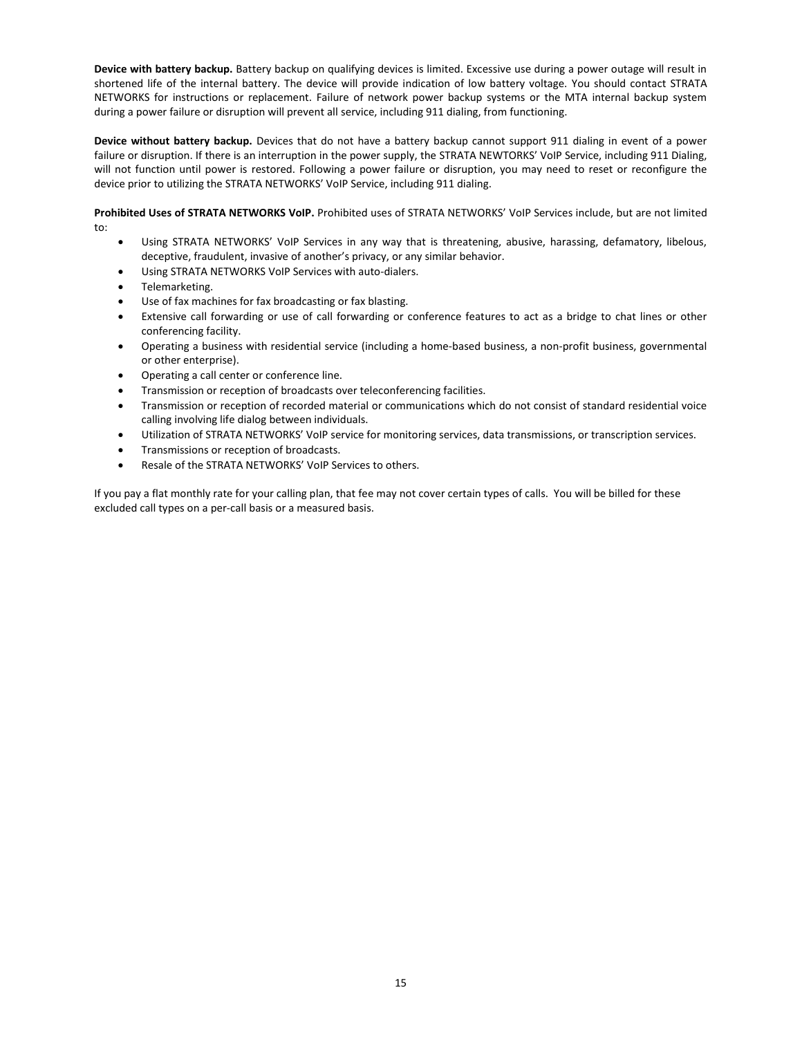**Device with battery backup.** Battery backup on qualifying devices is limited. Excessive use during a power outage will result in shortened life of the internal battery. The device will provide indication of low battery voltage. You should contact STRATA NETWORKS for instructions or replacement. Failure of network power backup systems or the MTA internal backup system during a power failure or disruption will prevent all service, including 911 dialing, from functioning.

**Device without battery backup.** Devices that do not have a battery backup cannot support 911 dialing in event of a power failure or disruption. If there is an interruption in the power supply, the STRATA NEWTORKS' VoIP Service, including 911 Dialing, will not function until power is restored. Following a power failure or disruption, you may need to reset or reconfigure the device prior to utilizing the STRATA NETWORKS' VoIP Service, including 911 dialing.

**Prohibited Uses of STRATA NETWORKS VoIP.** Prohibited uses of STRATA NETWORKS' VoIP Services include, but are not limited to:

- Using STRATA NETWORKS' VoIP Services in any way that is threatening, abusive, harassing, defamatory, libelous, deceptive, fraudulent, invasive of another's privacy, or any similar behavior.
- Using STRATA NETWORKS VoIP Services with auto-dialers.
- Telemarketing.
- Use of fax machines for fax broadcasting or fax blasting.
- Extensive call forwarding or use of call forwarding or conference features to act as a bridge to chat lines or other conferencing facility.
- Operating a business with residential service (including a home-based business, a non-profit business, governmental or other enterprise).
- Operating a call center or conference line.
- Transmission or reception of broadcasts over teleconferencing facilities.
- Transmission or reception of recorded material or communications which do not consist of standard residential voice calling involving life dialog between individuals.
- Utilization of STRATA NETWORKS' VoIP service for monitoring services, data transmissions, or transcription services.
- Transmissions or reception of broadcasts.
- Resale of the STRATA NETWORKS' VoIP Services to others.

If you pay a flat monthly rate for your calling plan, that fee may not cover certain types of calls. You will be billed for these excluded call types on a per-call basis or a measured basis.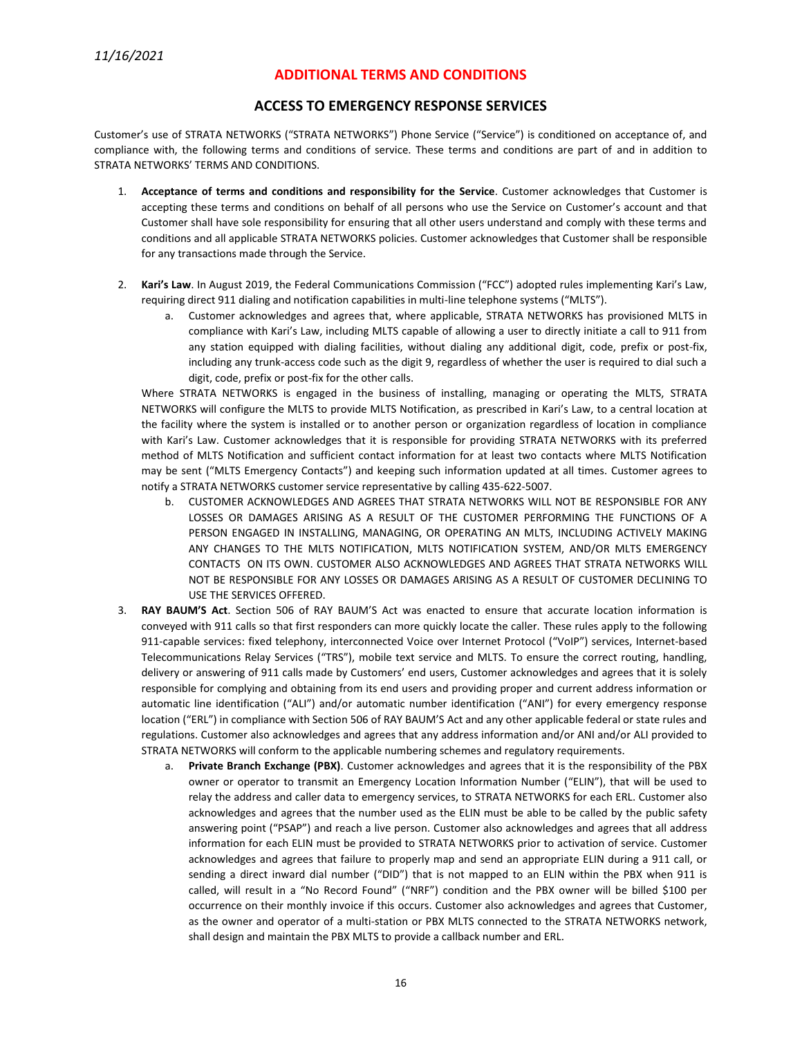# **ADDITIONAL TERMS AND CONDITIONS**

# **ACCESS TO EMERGENCY RESPONSE SERVICES**

Customer's use of STRATA NETWORKS ("STRATA NETWORKS") Phone Service ("Service") is conditioned on acceptance of, and compliance with, the following terms and conditions of service. These terms and conditions are part of and in addition to STRATA NETWORKS' TERMS AND CONDITIONS.

- 1. **Acceptance of terms and conditions and responsibility for the Service**. Customer acknowledges that Customer is accepting these terms and conditions on behalf of all persons who use the Service on Customer's account and that Customer shall have sole responsibility for ensuring that all other users understand and comply with these terms and conditions and all applicable STRATA NETWORKS policies. Customer acknowledges that Customer shall be responsible for any transactions made through the Service.
- 2. **Kari's Law**. In August 2019, the Federal Communications Commission ("FCC") adopted rules implementing Kari's Law, requiring direct 911 dialing and notification capabilities in multi-line telephone systems ("MLTS").
	- a. Customer acknowledges and agrees that, where applicable, STRATA NETWORKS has provisioned MLTS in compliance with Kari's Law, including MLTS capable of allowing a user to directly initiate a call to 911 from any station equipped with dialing facilities, without dialing any additional digit, code, prefix or post-fix, including any trunk-access code such as the digit 9, regardless of whether the user is required to dial such a digit, code, prefix or post-fix for the other calls.

Where STRATA NETWORKS is engaged in the business of installing, managing or operating the MLTS, STRATA NETWORKS will configure the MLTS to provide MLTS Notification, as prescribed in Kari's Law, to a central location at the facility where the system is installed or to another person or organization regardless of location in compliance with Kari's Law. Customer acknowledges that it is responsible for providing STRATA NETWORKS with its preferred method of MLTS Notification and sufficient contact information for at least two contacts where MLTS Notification may be sent ("MLTS Emergency Contacts") and keeping such information updated at all times. Customer agrees to notify a STRATA NETWORKS customer service representative by calling 435-622-5007.

- b. CUSTOMER ACKNOWLEDGES AND AGREES THAT STRATA NETWORKS WILL NOT BE RESPONSIBLE FOR ANY LOSSES OR DAMAGES ARISING AS A RESULT OF THE CUSTOMER PERFORMING THE FUNCTIONS OF A PERSON ENGAGED IN INSTALLING, MANAGING, OR OPERATING AN MLTS, INCLUDING ACTIVELY MAKING ANY CHANGES TO THE MLTS NOTIFICATION, MLTS NOTIFICATION SYSTEM, AND/OR MLTS EMERGENCY CONTACTS ON ITS OWN. CUSTOMER ALSO ACKNOWLEDGES AND AGREES THAT STRATA NETWORKS WILL NOT BE RESPONSIBLE FOR ANY LOSSES OR DAMAGES ARISING AS A RESULT OF CUSTOMER DECLINING TO USE THE SERVICES OFFERED.
- 3. **RAY BAUM'S Act**. Section 506 of RAY BAUM'S Act was enacted to ensure that accurate location information is conveyed with 911 calls so that first responders can more quickly locate the caller. These rules apply to the following 911-capable services: fixed telephony, interconnected Voice over Internet Protocol ("VoIP") services, Internet-based Telecommunications Relay Services ("TRS"), mobile text service and MLTS. To ensure the correct routing, handling, delivery or answering of 911 calls made by Customers' end users, Customer acknowledges and agrees that it is solely responsible for complying and obtaining from its end users and providing proper and current address information or automatic line identification ("ALI") and/or automatic number identification ("ANI") for every emergency response location ("ERL") in compliance with Section 506 of RAY BAUM'S Act and any other applicable federal or state rules and regulations. Customer also acknowledges and agrees that any address information and/or ANI and/or ALI provided to STRATA NETWORKS will conform to the applicable numbering schemes and regulatory requirements.
	- a. **Private Branch Exchange (PBX)**. Customer acknowledges and agrees that it is the responsibility of the PBX owner or operator to transmit an Emergency Location Information Number ("ELIN"), that will be used to relay the address and caller data to emergency services, to STRATA NETWORKS for each ERL. Customer also acknowledges and agrees that the number used as the ELIN must be able to be called by the public safety answering point ("PSAP") and reach a live person. Customer also acknowledges and agrees that all address information for each ELIN must be provided to STRATA NETWORKS prior to activation of service. Customer acknowledges and agrees that failure to properly map and send an appropriate ELIN during a 911 call, or sending a direct inward dial number ("DID") that is not mapped to an ELIN within the PBX when 911 is called, will result in a "No Record Found" ("NRF") condition and the PBX owner will be billed \$100 per occurrence on their monthly invoice if this occurs. Customer also acknowledges and agrees that Customer, as the owner and operator of a multi-station or PBX MLTS connected to the STRATA NETWORKS network, shall design and maintain the PBX MLTS to provide a callback number and ERL.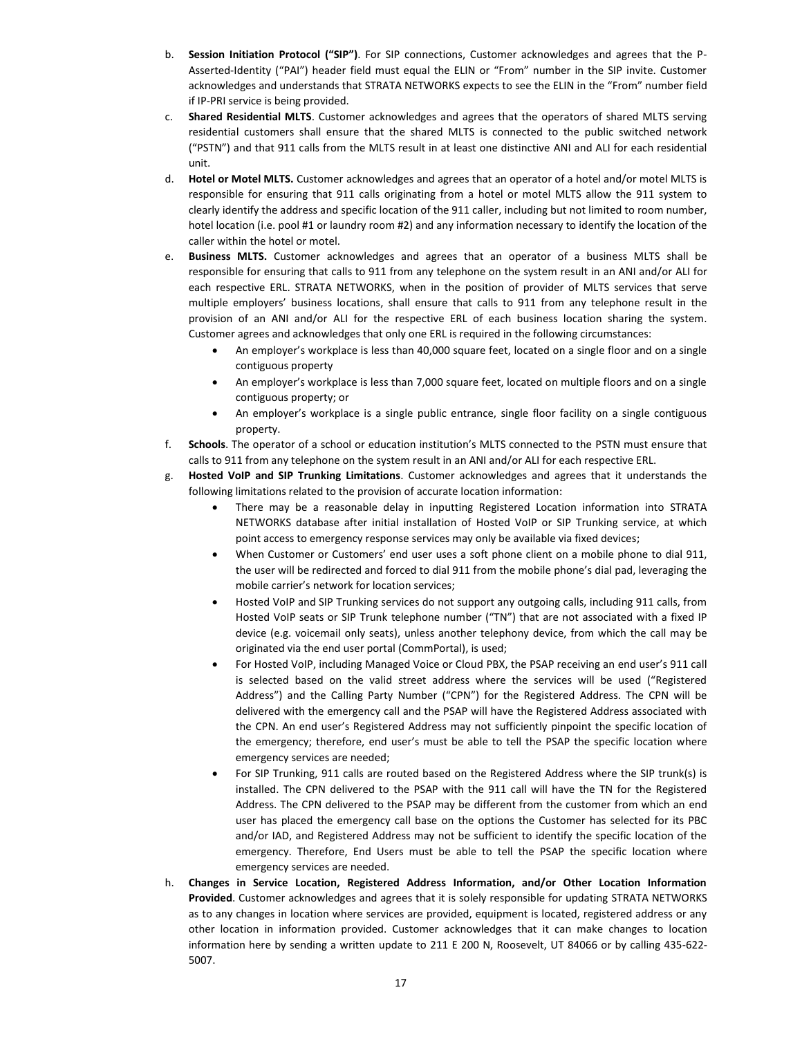- b. **Session Initiation Protocol ("SIP")**. For SIP connections, Customer acknowledges and agrees that the P-Asserted-Identity ("PAI") header field must equal the ELIN or "From" number in the SIP invite. Customer acknowledges and understands that STRATA NETWORKS expects to see the ELIN in the "From" number field if IP-PRI service is being provided.
- c. **Shared Residential MLTS**. Customer acknowledges and agrees that the operators of shared MLTS serving residential customers shall ensure that the shared MLTS is connected to the public switched network ("PSTN") and that 911 calls from the MLTS result in at least one distinctive ANI and ALI for each residential unit.
- d. **Hotel or Motel MLTS.** Customer acknowledges and agrees that an operator of a hotel and/or motel MLTS is responsible for ensuring that 911 calls originating from a hotel or motel MLTS allow the 911 system to clearly identify the address and specific location of the 911 caller, including but not limited to room number, hotel location (i.e. pool #1 or laundry room #2) and any information necessary to identify the location of the caller within the hotel or motel.
- e. **Business MLTS.** Customer acknowledges and agrees that an operator of a business MLTS shall be responsible for ensuring that calls to 911 from any telephone on the system result in an ANI and/or ALI for each respective ERL. STRATA NETWORKS, when in the position of provider of MLTS services that serve multiple employers' business locations, shall ensure that calls to 911 from any telephone result in the provision of an ANI and/or ALI for the respective ERL of each business location sharing the system. Customer agrees and acknowledges that only one ERL is required in the following circumstances:
	- An employer's workplace is less than 40,000 square feet, located on a single floor and on a single contiguous property
	- An employer's workplace is less than 7,000 square feet, located on multiple floors and on a single contiguous property; or
	- An employer's workplace is a single public entrance, single floor facility on a single contiguous property.
- f. **Schools**. The operator of a school or education institution's MLTS connected to the PSTN must ensure that calls to 911 from any telephone on the system result in an ANI and/or ALI for each respective ERL.
- g. **Hosted VoIP and SIP Trunking Limitations**. Customer acknowledges and agrees that it understands the following limitations related to the provision of accurate location information:
	- There may be a reasonable delay in inputting Registered Location information into STRATA NETWORKS database after initial installation of Hosted VoIP or SIP Trunking service, at which point access to emergency response services may only be available via fixed devices;
	- When Customer or Customers' end user uses a soft phone client on a mobile phone to dial 911, the user will be redirected and forced to dial 911 from the mobile phone's dial pad, leveraging the mobile carrier's network for location services;
	- Hosted VoIP and SIP Trunking services do not support any outgoing calls, including 911 calls, from Hosted VoIP seats or SIP Trunk telephone number ("TN") that are not associated with a fixed IP device (e.g. voicemail only seats), unless another telephony device, from which the call may be originated via the end user portal (CommPortal), is used;
	- For Hosted VoIP, including Managed Voice or Cloud PBX, the PSAP receiving an end user's 911 call is selected based on the valid street address where the services will be used ("Registered Address") and the Calling Party Number ("CPN") for the Registered Address. The CPN will be delivered with the emergency call and the PSAP will have the Registered Address associated with the CPN. An end user's Registered Address may not sufficiently pinpoint the specific location of the emergency; therefore, end user's must be able to tell the PSAP the specific location where emergency services are needed;
	- For SIP Trunking, 911 calls are routed based on the Registered Address where the SIP trunk(s) is installed. The CPN delivered to the PSAP with the 911 call will have the TN for the Registered Address. The CPN delivered to the PSAP may be different from the customer from which an end user has placed the emergency call base on the options the Customer has selected for its PBC and/or IAD, and Registered Address may not be sufficient to identify the specific location of the emergency. Therefore, End Users must be able to tell the PSAP the specific location where emergency services are needed.
- h. **Changes in Service Location, Registered Address Information, and/or Other Location Information Provided**. Customer acknowledges and agrees that it is solely responsible for updating STRATA NETWORKS as to any changes in location where services are provided, equipment is located, registered address or any other location in information provided. Customer acknowledges that it can make changes to location information here by sending a written update to 211 E 200 N, Roosevelt, UT 84066 or by calling 435-622- 5007.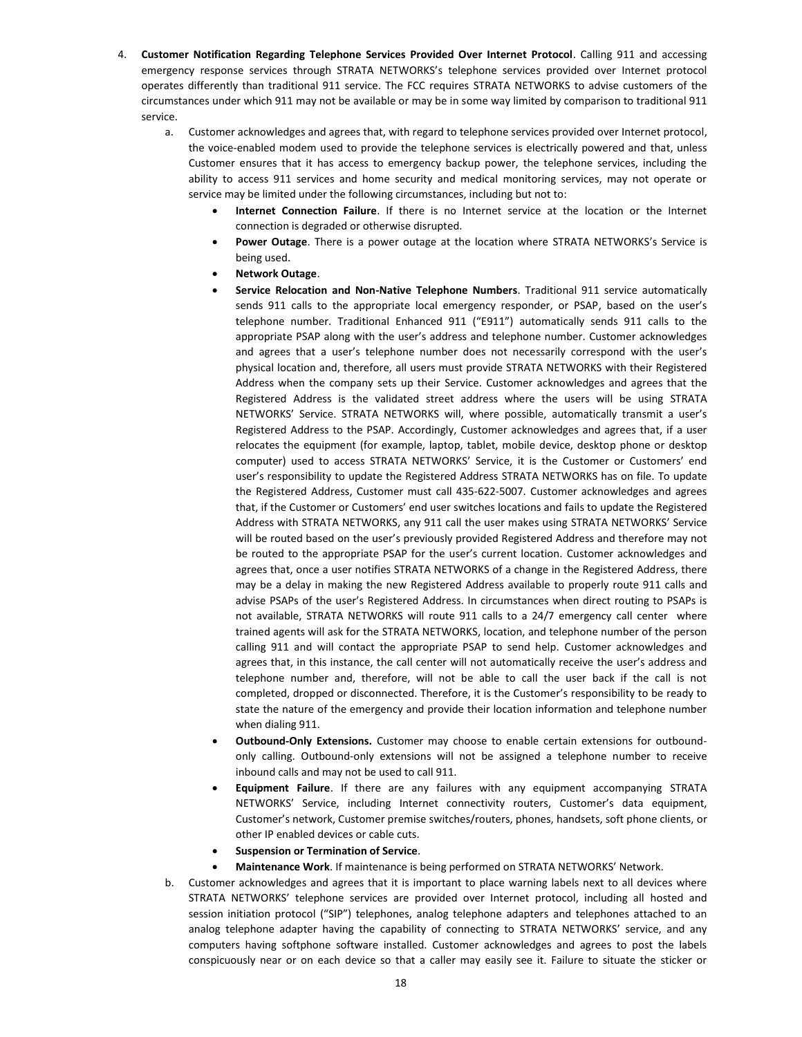- 4. **Customer Notification Regarding Telephone Services Provided Over Internet Protocol**. Calling 911 and accessing emergency response services through STRATA NETWORKS's telephone services provided over Internet protocol operates differently than traditional 911 service. The FCC requires STRATA NETWORKS to advise customers of the circumstances under which 911 may not be available or may be in some way limited by comparison to traditional 911 service.
	- a. Customer acknowledges and agrees that, with regard to telephone services provided over Internet protocol, the voice-enabled modem used to provide the telephone services is electrically powered and that, unless Customer ensures that it has access to emergency backup power, the telephone services, including the ability to access 911 services and home security and medical monitoring services, may not operate or service may be limited under the following circumstances, including but not to:
		- **Internet Connection Failure**. If there is no Internet service at the location or the Internet connection is degraded or otherwise disrupted.
		- **Power Outage**. There is a power outage at the location where STRATA NETWORKS's Service is being used.
		- **Network Outage**.
		- **Service Relocation and Non-Native Telephone Numbers**. Traditional 911 service automatically sends 911 calls to the appropriate local emergency responder, or PSAP, based on the user's telephone number. Traditional Enhanced 911 ("E911") automatically sends 911 calls to the appropriate PSAP along with the user's address and telephone number. Customer acknowledges and agrees that a user's telephone number does not necessarily correspond with the user's physical location and, therefore, all users must provide STRATA NETWORKS with their Registered Address when the company sets up their Service. Customer acknowledges and agrees that the Registered Address is the validated street address where the users will be using STRATA NETWORKS' Service. STRATA NETWORKS will, where possible, automatically transmit a user's Registered Address to the PSAP. Accordingly, Customer acknowledges and agrees that, if a user relocates the equipment (for example, laptop, tablet, mobile device, desktop phone or desktop computer) used to access STRATA NETWORKS' Service, it is the Customer or Customers' end user's responsibility to update the Registered Address STRATA NETWORKS has on file. To update the Registered Address, Customer must call 435-622-5007. Customer acknowledges and agrees that, if the Customer or Customers' end user switches locations and fails to update the Registered Address with STRATA NETWORKS, any 911 call the user makes using STRATA NETWORKS' Service will be routed based on the user's previously provided Registered Address and therefore may not be routed to the appropriate PSAP for the user's current location. Customer acknowledges and agrees that, once a user notifies STRATA NETWORKS of a change in the Registered Address, there may be a delay in making the new Registered Address available to properly route 911 calls and advise PSAPs of the user's Registered Address. In circumstances when direct routing to PSAPs is not available, STRATA NETWORKS will route 911 calls to a 24/7 emergency call center where trained agents will ask for the STRATA NETWORKS, location, and telephone number of the person calling 911 and will contact the appropriate PSAP to send help. Customer acknowledges and agrees that, in this instance, the call center will not automatically receive the user's address and telephone number and, therefore, will not be able to call the user back if the call is not completed, dropped or disconnected. Therefore, it is the Customer's responsibility to be ready to state the nature of the emergency and provide their location information and telephone number when dialing 911.
		- **Outbound-Only Extensions.** Customer may choose to enable certain extensions for outboundonly calling. Outbound-only extensions will not be assigned a telephone number to receive inbound calls and may not be used to call 911.
		- **Equipment Failure**. If there are any failures with any equipment accompanying STRATA NETWORKS' Service, including Internet connectivity routers, Customer's data equipment, Customer's network, Customer premise switches/routers, phones, handsets, soft phone clients, or other IP enabled devices or cable cuts.
		- **Suspension or Termination of Service**.
		- **Maintenance Work**. If maintenance is being performed on STRATA NETWORKS' Network.
	- b. Customer acknowledges and agrees that it is important to place warning labels next to all devices where STRATA NETWORKS' telephone services are provided over Internet protocol, including all hosted and session initiation protocol ("SIP") telephones, analog telephone adapters and telephones attached to an analog telephone adapter having the capability of connecting to STRATA NETWORKS' service, and any computers having softphone software installed. Customer acknowledges and agrees to post the labels conspicuously near or on each device so that a caller may easily see it. Failure to situate the sticker or